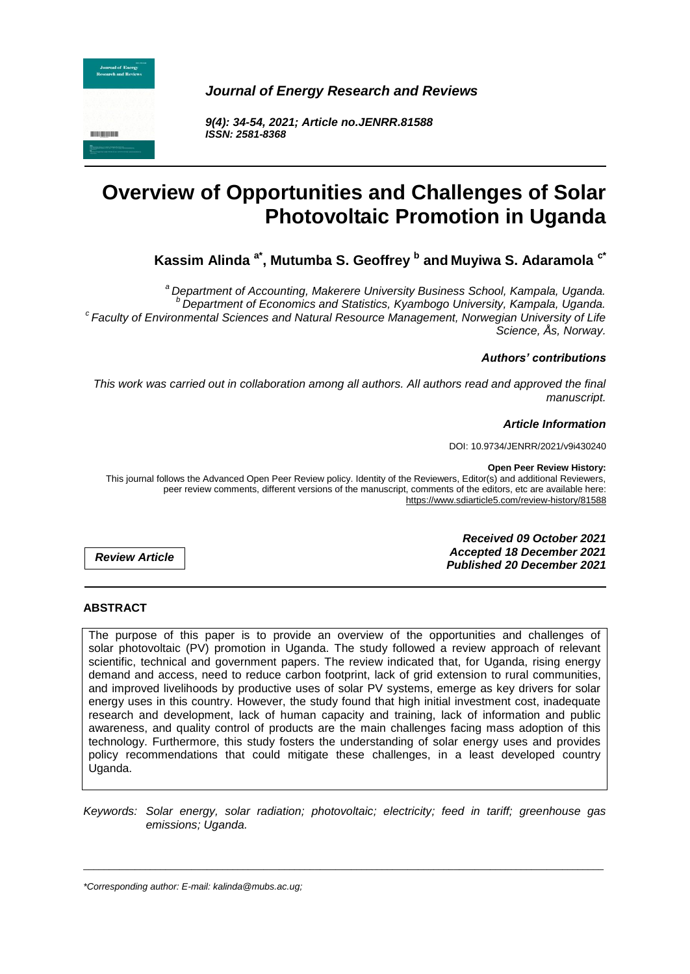

*Journal of Energy Research and Reviews*

*9(4): 34-54, 2021; Article no.JENRR.81588 ISSN: 2581-8368*

# **Overview of Opportunities and Challenges of Solar Photovoltaic Promotion in Uganda**

**Kassim Alinda a\* , Mutumba S. Geoffrey <sup>b</sup> and Muyiwa S. Adaramola c\***

*<sup>a</sup> Department of Accounting, Makerere University Business School, Kampala, Uganda. <sup>b</sup> Department of Economics and Statistics, Kyambogo University, Kampala, Uganda. c Faculty of Environmental Sciences and Natural Resource Management, Norwegian University of Life Science, Ås, Norway.*

### *Authors' contributions*

*This work was carried out in collaboration among all authors. All authors read and approved the final manuscript.*

### *Article Information*

DOI: 10.9734/JENRR/2021/v9i430240

**Open Peer Review History:**

This journal follows the Advanced Open Peer Review policy. Identity of the Reviewers, Editor(s) and additional Reviewers, peer review comments, different versions of the manuscript, comments of the editors, etc are available here: https://www.sdiarticle5.com/review-history/81588

*Review Article*

*Received 09 October 2021 Accepted 18 December 2021 Published 20 December 2021*

#### **ABSTRACT**

The purpose of this paper is to provide an overview of the opportunities and challenges of solar photovoltaic (PV) promotion in Uganda. The study followed a review approach of relevant scientific, technical and government papers. The review indicated that, for Uganda, rising energy demand and access, need to reduce carbon footprint, lack of grid extension to rural communities, and improved livelihoods by productive uses of solar PV systems, emerge as key drivers for solar energy uses in this country. However, the study found that high initial investment cost, inadequate research and development, lack of human capacity and training, lack of information and public awareness, and quality control of products are the main challenges facing mass adoption of this technology. Furthermore, this study fosters the understanding of solar energy uses and provides policy recommendations that could mitigate these challenges, in a least developed country Uganda.

*Keywords: Solar energy, solar radiation; photovoltaic; electricity; feed in tariff; greenhouse gas emissions; Uganda.*

\_\_\_\_\_\_\_\_\_\_\_\_\_\_\_\_\_\_\_\_\_\_\_\_\_\_\_\_\_\_\_\_\_\_\_\_\_\_\_\_\_\_\_\_\_\_\_\_\_\_\_\_\_\_\_\_\_\_\_\_\_\_\_\_\_\_\_\_\_\_\_\_\_\_\_\_\_\_\_\_\_\_\_\_\_\_\_\_\_\_\_\_\_\_\_\_\_\_\_\_\_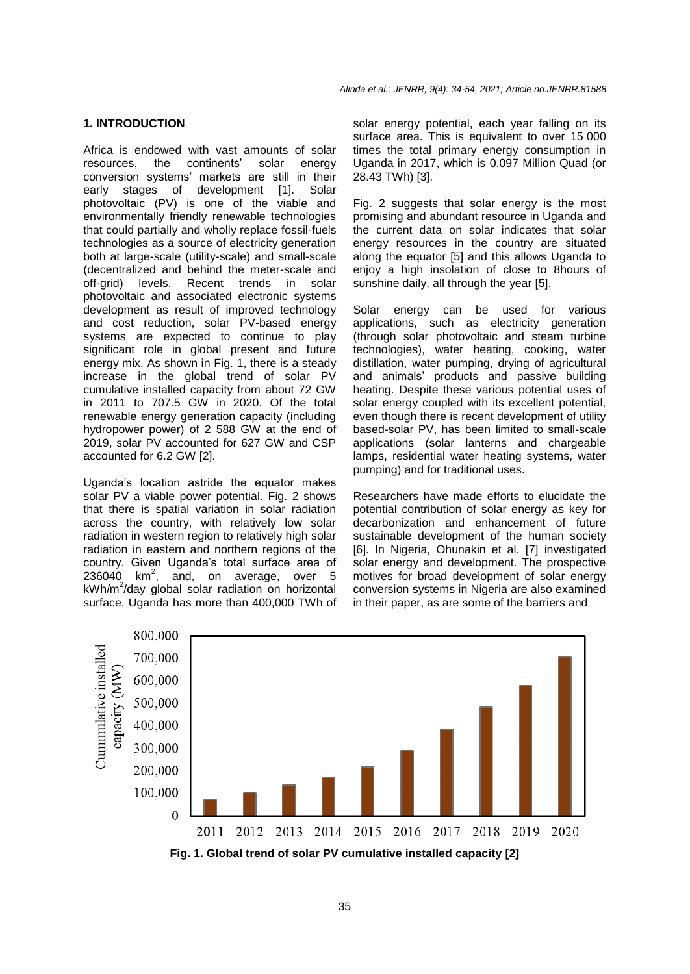#### **1. INTRODUCTION**

Africa is endowed with vast amounts of solar resources, the continents' solar energy conversion systems' markets are still in their early stages of development [1]. Solar photovoltaic (PV) is one of the viable and environmentally friendly renewable technologies that could partially and wholly replace fossil-fuels technologies as a source of electricity generation both at large-scale (utility-scale) and small-scale (decentralized and behind the meter-scale and off-grid) levels. Recent trends in solar photovoltaic and associated electronic systems development as result of improved technology and cost reduction, solar PV-based energy systems are expected to continue to play significant role in global present and future energy mix. As shown in Fig. 1, there is a steady increase in the global trend of solar PV cumulative installed capacity from about 72 GW in 2011 to 707.5 GW in 2020. Of the total renewable energy generation capacity (including hydropower power) of 2 588 GW at the end of 2019, solar PV accounted for 627 GW and CSP accounted for 6.2 GW [2].

Uganda's location astride the equator makes solar PV a viable power potential. Fig. 2 shows that there is spatial variation in solar radiation across the country, with relatively low solar radiation in western region to relatively high solar radiation in eastern and northern regions of the country. Given Uganda's total surface area of  $236040$  km<sup>2</sup>, and, on average, over 5 kWh/m<sup>2</sup>/day global solar radiation on horizontal surface, Uganda has more than 400,000 TWh of

*Alinda et al.; JENRR, 9(4): 34-54, 2021; Article no.JENRR.81588*

solar energy potential, each year falling on its surface area. This is equivalent to over 15 000 times the total primary energy consumption in Uganda in 2017, which is 0.097 Million Quad (or 28.43 TWh) [3].

Fig. 2 suggests that solar energy is the most promising and abundant resource in Uganda and the current data on solar indicates that solar energy resources in the country are situated along the equator [5] and this allows Uganda to enjoy a high insolation of close to 8hours of sunshine daily, all through the year [5].

Solar energy can be used for various applications, such as electricity generation (through solar photovoltaic and steam turbine technologies), water heating, cooking, water distillation, water pumping, drying of agricultural and animals' products and passive building heating. Despite these various potential uses of solar energy coupled with its excellent potential, even though there is recent development of utility based-solar PV, has been limited to small-scale applications (solar lanterns and chargeable lamps, residential water heating systems, water pumping) and for traditional uses.

Researchers have made efforts to elucidate the potential contribution of solar energy as key for decarbonization and enhancement of future sustainable development of the human society [6]. In Nigeria, Ohunakin et al. [7] investigated solar energy and development. The prospective motives for broad development of solar energy conversion systems in Nigeria are also examined in their paper, as are some of the barriers and



**Fig. 1. Global trend of solar PV cumulative installed capacity [2]**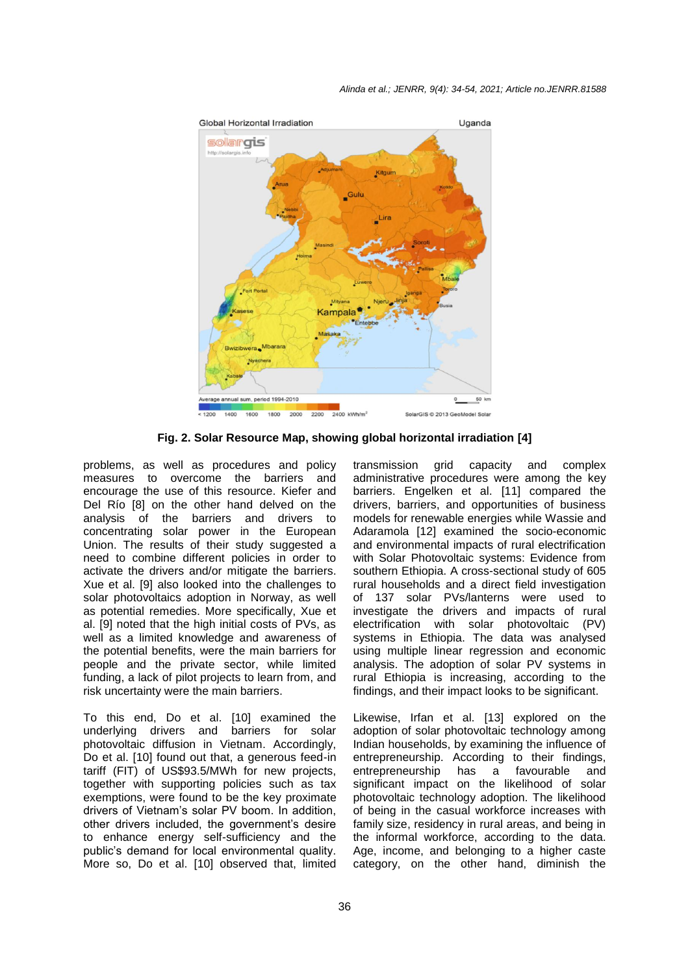

**Fig. 2. Solar Resource Map, showing global horizontal irradiation [4]**

problems, as well as procedures and policy measures to overcome the barriers and encourage the use of this resource. Kiefer and Del Río [8] on the other hand delved on the analysis of the barriers and drivers to concentrating solar power in the European Union. The results of their study suggested a need to combine different policies in order to activate the drivers and/or mitigate the barriers. Xue et al. [9] also looked into the challenges to solar photovoltaics adoption in Norway, as well as potential remedies. More specifically, Xue et al. [9] noted that the high initial costs of PVs, as well as a limited knowledge and awareness of the potential benefits, were the main barriers for people and the private sector, while limited funding, a lack of pilot projects to learn from, and risk uncertainty were the main barriers.

To this end, Do et al. [10] examined the underlying drivers and barriers for solar photovoltaic diffusion in Vietnam. Accordingly, Do et al. [10] found out that, a generous feed-in tariff (FIT) of US\$93.5/MWh for new projects, together with supporting policies such as tax exemptions, were found to be the key proximate drivers of Vietnam's solar PV boom. In addition, other drivers included, the government's desire to enhance energy self-sufficiency and the public's demand for local environmental quality. More so, Do et al. [10] observed that, limited

transmission grid capacity and complex administrative procedures were among the key barriers. Engelken et al. [11] compared the drivers, barriers, and opportunities of business models for renewable energies while Wassie and Adaramola [12] examined the socio-economic and environmental impacts of rural electrification with Solar Photovoltaic systems: Evidence from southern Ethiopia. A cross-sectional study of 605 rural households and a direct field investigation of 137 solar PVs/lanterns were used to investigate the drivers and impacts of rural electrification with solar photovoltaic (PV) systems in Ethiopia. The data was analysed using multiple linear regression and economic analysis. The adoption of solar PV systems in rural Ethiopia is increasing, according to the findings, and their impact looks to be significant.

Likewise, Irfan et al. [13] explored on the adoption of solar photovoltaic technology among Indian households, by examining the influence of entrepreneurship. According to their findings, entrepreneurship has a favourable and significant impact on the likelihood of solar photovoltaic technology adoption. The likelihood of being in the casual workforce increases with family size, residency in rural areas, and being in the informal workforce, according to the data. Age, income, and belonging to a higher caste category, on the other hand, diminish the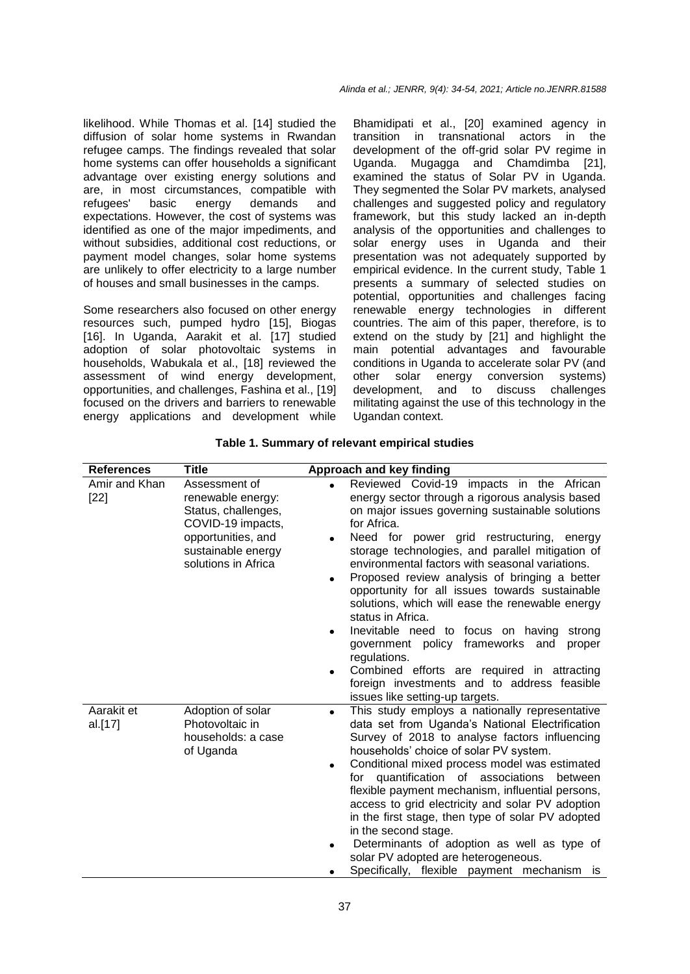likelihood. While Thomas et al. [14] studied the diffusion of solar home systems in Rwandan refugee camps. The findings revealed that solar home systems can offer households a significant advantage over existing energy solutions and are, in most circumstances, compatible with refugees' basic energy demands and expectations. However, the cost of systems was identified as one of the major impediments, and without subsidies, additional cost reductions, or payment model changes, solar home systems are unlikely to offer electricity to a large number of houses and small businesses in the camps.

Some researchers also focused on other energy resources such, pumped hydro [15], Biogas [16]. In Uganda, Aarakit et al. [17] studied adoption of solar photovoltaic systems in households, Wabukala et al., [18] reviewed the assessment of wind energy development, opportunities, and challenges, Fashina et al., [19] focused on the drivers and barriers to renewable energy applications and development while

Bhamidipati et al., [20] examined agency in transition in transnational actors in the development of the off-grid solar PV regime in Uganda. Mugagga and Chamdimba [21], examined the status of Solar PV in Uganda. They segmented the Solar PV markets, analysed challenges and suggested policy and regulatory framework, but this study lacked an in-depth analysis of the opportunities and challenges to solar energy uses in Uganda and their presentation was not adequately supported by empirical evidence. In the current study, Table 1 presents a summary of selected studies on potential, opportunities and challenges facing renewable energy technologies in different countries. The aim of this paper, therefore, is to extend on the study by [21] and highlight the main potential advantages and favourable conditions in Uganda to accelerate solar PV (and other solar energy conversion systems) development, and to discuss challenges militating against the use of this technology in the Ugandan context.

| <b>References</b>       | Title                                                                                                                                             | <b>Approach and key finding</b>                                                                                                                                                                                                                                                                                                                                                                                                                                                                                                                                                                                                                                                                                                                                                    |
|-------------------------|---------------------------------------------------------------------------------------------------------------------------------------------------|------------------------------------------------------------------------------------------------------------------------------------------------------------------------------------------------------------------------------------------------------------------------------------------------------------------------------------------------------------------------------------------------------------------------------------------------------------------------------------------------------------------------------------------------------------------------------------------------------------------------------------------------------------------------------------------------------------------------------------------------------------------------------------|
| Amir and Khan<br>$[22]$ | Assessment of<br>renewable energy:<br>Status, challenges,<br>COVID-19 impacts,<br>opportunities, and<br>sustainable energy<br>solutions in Africa | Reviewed Covid-19 impacts in the African<br>energy sector through a rigorous analysis based<br>on major issues governing sustainable solutions<br>for Africa.<br>Need for power grid restructuring, energy<br>$\bullet$<br>storage technologies, and parallel mitigation of<br>environmental factors with seasonal variations.<br>Proposed review analysis of bringing a better<br>$\bullet$<br>opportunity for all issues towards sustainable<br>solutions, which will ease the renewable energy<br>status in Africa.<br>Inevitable need to focus on having<br>strong<br>government policy frameworks and<br>proper<br>regulations.<br>Combined efforts are required in attracting<br>$\bullet$<br>foreign investments and to address feasible<br>issues like setting-up targets. |
| Aarakit et<br>al.[17]   | Adoption of solar<br>Photovoltaic in<br>households: a case<br>of Uganda                                                                           | This study employs a nationally representative<br>$\bullet$<br>data set from Uganda's National Electrification<br>Survey of 2018 to analyse factors influencing<br>households' choice of solar PV system.<br>Conditional mixed process model was estimated<br>$\bullet$<br>for quantification of associations<br>between<br>flexible payment mechanism, influential persons,<br>access to grid electricity and solar PV adoption<br>in the first stage, then type of solar PV adopted<br>in the second stage.<br>Determinants of adoption as well as type of<br>solar PV adopted are heterogeneous.<br>Specifically, flexible payment mechanism<br><b>is</b>                                                                                                                       |

**Table 1. Summary of relevant empirical studies**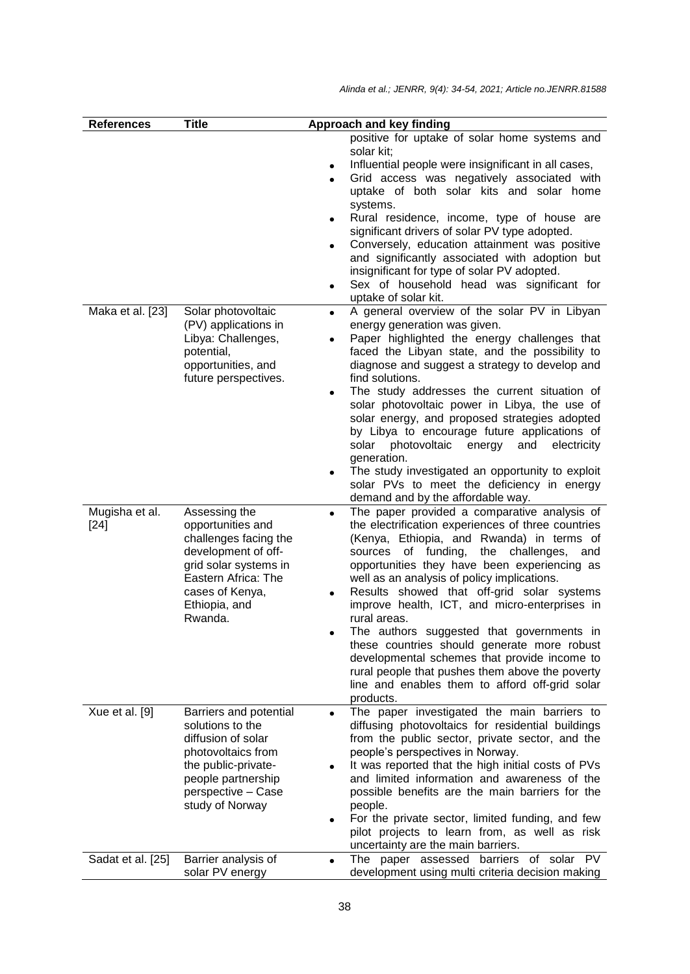| <b>References</b>                   | <b>Title</b>                                                                                                                                                                                        |                        | Approach and key finding                                                                                                                                                                                                                                                                                                                                                                                                                                                                                                                                                                                                                                                        |
|-------------------------------------|-----------------------------------------------------------------------------------------------------------------------------------------------------------------------------------------------------|------------------------|---------------------------------------------------------------------------------------------------------------------------------------------------------------------------------------------------------------------------------------------------------------------------------------------------------------------------------------------------------------------------------------------------------------------------------------------------------------------------------------------------------------------------------------------------------------------------------------------------------------------------------------------------------------------------------|
|                                     |                                                                                                                                                                                                     | $\bullet$<br>$\bullet$ | positive for uptake of solar home systems and<br>solar kit;<br>Influential people were insignificant in all cases,<br>Grid access was negatively associated with<br>uptake of both solar kits and solar home<br>systems.<br>Rural residence, income, type of house are<br>significant drivers of solar PV type adopted.<br>Conversely, education attainment was positive<br>and significantly associated with adoption but<br>insignificant for type of solar PV adopted.<br>Sex of household head was significant for<br>uptake of solar kit.                                                                                                                                  |
| Maka et al. [23]                    | Solar photovoltaic<br>(PV) applications in<br>Libya: Challenges,<br>potential,<br>opportunities, and<br>future perspectives.                                                                        | $\bullet$              | A general overview of the solar PV in Libyan<br>energy generation was given.<br>Paper highlighted the energy challenges that<br>faced the Libyan state, and the possibility to<br>diagnose and suggest a strategy to develop and<br>find solutions.<br>The study addresses the current situation of<br>solar photovoltaic power in Libya, the use of<br>solar energy, and proposed strategies adopted<br>by Libya to encourage future applications of<br>solar<br>photovoltaic<br>energy<br>and<br>electricity<br>generation.<br>The study investigated an opportunity to exploit<br>solar PVs to meet the deficiency in energy<br>demand and by the affordable way.            |
| Mugisha et al.<br>$[24]$            | Assessing the<br>opportunities and<br>challenges facing the<br>development of off-<br>grid solar systems in<br>Eastern Africa: The<br>cases of Kenya,<br>Ethiopia, and<br>Rwanda.                   | $\bullet$              | The paper provided a comparative analysis of<br>the electrification experiences of three countries<br>(Kenya, Ethiopia, and Rwanda) in terms of<br>of funding,<br>sources<br>the challenges,<br>and<br>opportunities they have been experiencing as<br>well as an analysis of policy implications.<br>Results showed that off-grid solar systems<br>improve health, ICT, and micro-enterprises in<br>rural areas.<br>The authors suggested that governments in<br>these countries should generate more robust<br>developmental schemes that provide income to<br>rural people that pushes them above the poverty<br>line and enables them to afford off-grid solar<br>products. |
| Xue et al. [9]<br>Sadat et al. [25] | Barriers and potential<br>solutions to the<br>diffusion of solar<br>photovoltaics from<br>the public-private-<br>people partnership<br>perspective - Case<br>study of Norway<br>Barrier analysis of |                        | The paper investigated the main barriers to<br>diffusing photovoltaics for residential buildings<br>from the public sector, private sector, and the<br>people's perspectives in Norway.<br>It was reported that the high initial costs of PVs<br>and limited information and awareness of the<br>possible benefits are the main barriers for the<br>people.<br>For the private sector, limited funding, and few<br>pilot projects to learn from, as well as risk<br>uncertainty are the main barriers.<br>The paper assessed barriers of solar PV                                                                                                                               |
|                                     | solar PV energy                                                                                                                                                                                     |                        | development using multi criteria decision making                                                                                                                                                                                                                                                                                                                                                                                                                                                                                                                                                                                                                                |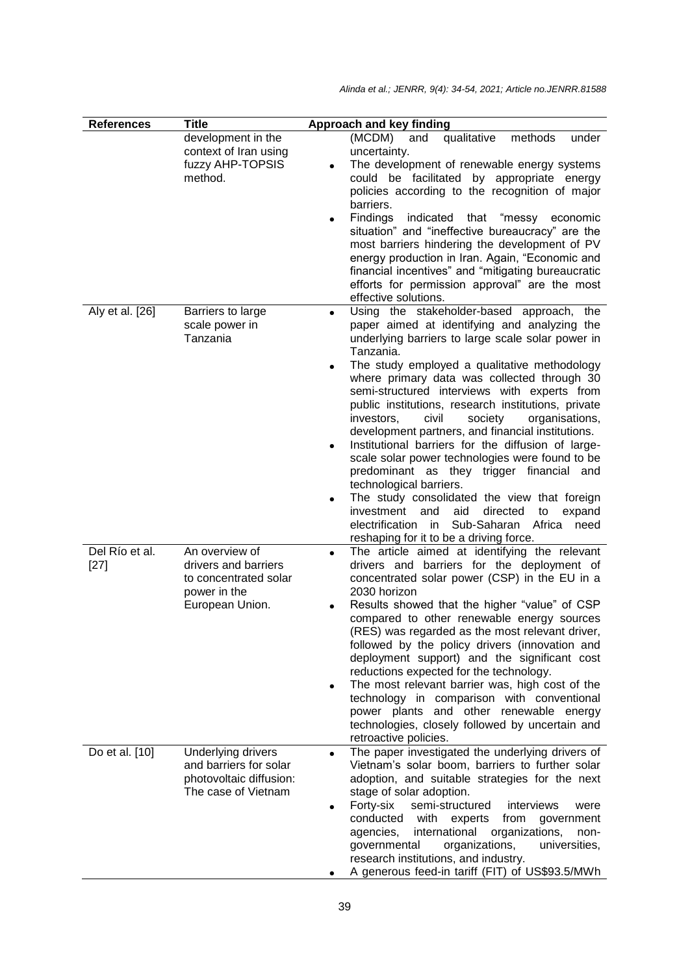| <b>References</b>        | <b>Title</b>                                                                                       | Approach and key finding                                                                                                                                                                                                                                                                                                                                                                                                                                                                                                                                                                                                                                                                                                                                                                                                                                                                                                  |
|--------------------------|----------------------------------------------------------------------------------------------------|---------------------------------------------------------------------------------------------------------------------------------------------------------------------------------------------------------------------------------------------------------------------------------------------------------------------------------------------------------------------------------------------------------------------------------------------------------------------------------------------------------------------------------------------------------------------------------------------------------------------------------------------------------------------------------------------------------------------------------------------------------------------------------------------------------------------------------------------------------------------------------------------------------------------------|
|                          | development in the<br>context of Iran using<br>fuzzy AHP-TOPSIS<br>method.                         | (MCDM)<br>qualitative<br>methods<br>and<br>under<br>uncertainty.<br>The development of renewable energy systems<br>could be facilitated by appropriate energy<br>policies according to the recognition of major<br>barriers.<br>Findings<br>indicated that "messy economic<br>$\bullet$<br>situation" and "ineffective bureaucracy" are the<br>most barriers hindering the development of PV<br>energy production in Iran. Again, "Economic and<br>financial incentives" and "mitigating bureaucratic<br>efforts for permission approval" are the most<br>effective solutions.                                                                                                                                                                                                                                                                                                                                            |
| Aly et al. [26]          | Barriers to large<br>scale power in<br>Tanzania                                                    | Using the stakeholder-based approach, the<br>$\bullet$<br>paper aimed at identifying and analyzing the<br>underlying barriers to large scale solar power in<br>Tanzania.<br>The study employed a qualitative methodology<br>$\bullet$<br>where primary data was collected through 30<br>semi-structured interviews with experts from<br>public institutions, research institutions, private<br>investors,<br>civil<br>society<br>organisations,<br>development partners, and financial institutions.<br>Institutional barriers for the diffusion of large-<br>$\bullet$<br>scale solar power technologies were found to be<br>predominant as they trigger financial and<br>technological barriers.<br>The study consolidated the view that foreign<br>$\bullet$<br>investment<br>and<br>aid<br>directed<br>expand<br>to<br>electrification in<br>Sub-Saharan<br>Africa<br>need<br>reshaping for it to be a driving force. |
| Del Río et al.<br>$[27]$ | An overview of<br>drivers and barriers<br>to concentrated solar<br>power in the<br>European Union. | The article aimed at identifying the relevant<br>$\bullet$<br>drivers and barriers for the deployment of<br>concentrated solar power (CSP) in the EU in a<br>2030 horizon<br>Results showed that the higher "value" of CSP<br>compared to other renewable energy sources<br>(RES) was regarded as the most relevant driver,<br>followed by the policy drivers (innovation and<br>deployment support) and the significant cost<br>reductions expected for the technology.<br>The most relevant barrier was, high cost of the<br>$\bullet$<br>technology in comparison with conventional<br>power plants and other renewable energy<br>technologies, closely followed by uncertain and<br>retroactive policies.                                                                                                                                                                                                             |
| Do et al. [10]           | Underlying drivers<br>and barriers for solar<br>photovoltaic diffusion:<br>The case of Vietnam     | The paper investigated the underlying drivers of<br>$\bullet$<br>Vietnam's solar boom, barriers to further solar<br>adoption, and suitable strategies for the next<br>stage of solar adoption.<br>Forty-six<br>semi-structured<br>interviews<br>were<br>conducted<br>with<br>experts<br>from<br>government<br>international<br>organizations,<br>agencies,<br>non-<br>organizations,<br>universities,<br>governmental<br>research institutions, and industry.<br>A generous feed-in tariff (FIT) of US\$93.5/MWh                                                                                                                                                                                                                                                                                                                                                                                                          |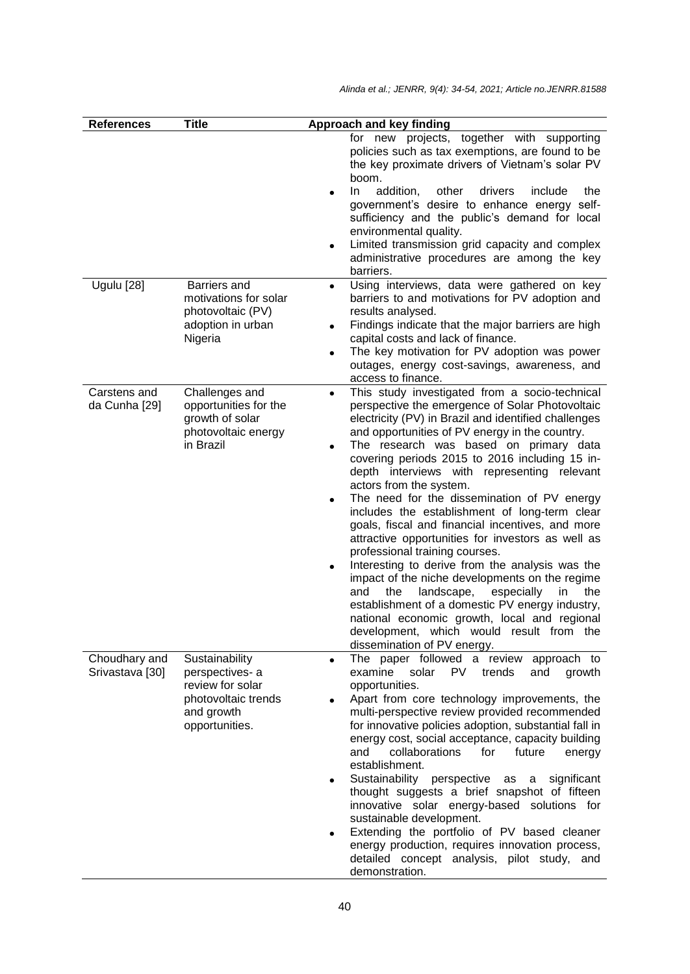| <b>References</b>                | <b>Title</b>                                                                                                | Approach and key finding                                                                                                                                                                                                                                                                                                                                                                                                                                                                                                                                                                                                                                                                                                                                                                                                                                                                                                                                                                                      |
|----------------------------------|-------------------------------------------------------------------------------------------------------------|---------------------------------------------------------------------------------------------------------------------------------------------------------------------------------------------------------------------------------------------------------------------------------------------------------------------------------------------------------------------------------------------------------------------------------------------------------------------------------------------------------------------------------------------------------------------------------------------------------------------------------------------------------------------------------------------------------------------------------------------------------------------------------------------------------------------------------------------------------------------------------------------------------------------------------------------------------------------------------------------------------------|
|                                  |                                                                                                             | for new projects, together with supporting<br>policies such as tax exemptions, are found to be<br>the key proximate drivers of Vietnam's solar PV<br>boom.<br>addition,<br>other<br>drivers<br>In.<br>include<br>the<br>government's desire to enhance energy self-<br>sufficiency and the public's demand for local<br>environmental quality.                                                                                                                                                                                                                                                                                                                                                                                                                                                                                                                                                                                                                                                                |
|                                  |                                                                                                             | Limited transmission grid capacity and complex<br>$\bullet$<br>administrative procedures are among the key<br>barriers.                                                                                                                                                                                                                                                                                                                                                                                                                                                                                                                                                                                                                                                                                                                                                                                                                                                                                       |
| Ugulu [28]                       | Barriers and<br>motivations for solar<br>photovoltaic (PV)<br>adoption in urban<br>Nigeria                  | Using interviews, data were gathered on key<br>$\bullet$<br>barriers to and motivations for PV adoption and<br>results analysed.<br>Findings indicate that the major barriers are high<br>$\bullet$<br>capital costs and lack of finance.<br>The key motivation for PV adoption was power<br>outages, energy cost-savings, awareness, and<br>access to finance.                                                                                                                                                                                                                                                                                                                                                                                                                                                                                                                                                                                                                                               |
| Carstens and<br>da Cunha [29]    | Challenges and<br>opportunities for the<br>growth of solar<br>photovoltaic energy<br>in Brazil              | This study investigated from a socio-technical<br>$\bullet$<br>perspective the emergence of Solar Photovoltaic<br>electricity (PV) in Brazil and identified challenges<br>and opportunities of PV energy in the country.<br>The research was based on primary data<br>$\bullet$<br>covering periods 2015 to 2016 including 15 in-<br>depth interviews with representing relevant<br>actors from the system.<br>The need for the dissemination of PV energy<br>$\bullet$<br>includes the establishment of long-term clear<br>goals, fiscal and financial incentives, and more<br>attractive opportunities for investors as well as<br>professional training courses.<br>Interesting to derive from the analysis was the<br>impact of the niche developments on the regime<br>the<br>landscape,<br>especially<br>and<br>in<br>the<br>establishment of a domestic PV energy industry,<br>national economic growth, local and regional<br>development, which would result from the<br>dissemination of PV energy. |
| Choudhary and<br>Srivastava [30] | Sustainability<br>perspectives-a<br>review for solar<br>photovoltaic trends<br>and growth<br>opportunities. | The paper followed a review approach to<br>$\bullet$<br>solar<br>examine<br>PV<br>trends<br>and<br>growth<br>opportunities.<br>Apart from core technology improvements, the<br>multi-perspective review provided recommended<br>for innovative policies adoption, substantial fall in<br>energy cost, social acceptance, capacity building<br>and<br>collaborations<br>for<br>future<br>energy<br>establishment.<br>Sustainability<br>perspective as a significant<br>$\bullet$<br>thought suggests a brief snapshot of fifteen<br>innovative solar energy-based solutions for<br>sustainable development.<br>Extending the portfolio of PV based cleaner<br>$\bullet$<br>energy production, requires innovation process,<br>detailed concept analysis, pilot study, and<br>demonstration.                                                                                                                                                                                                                    |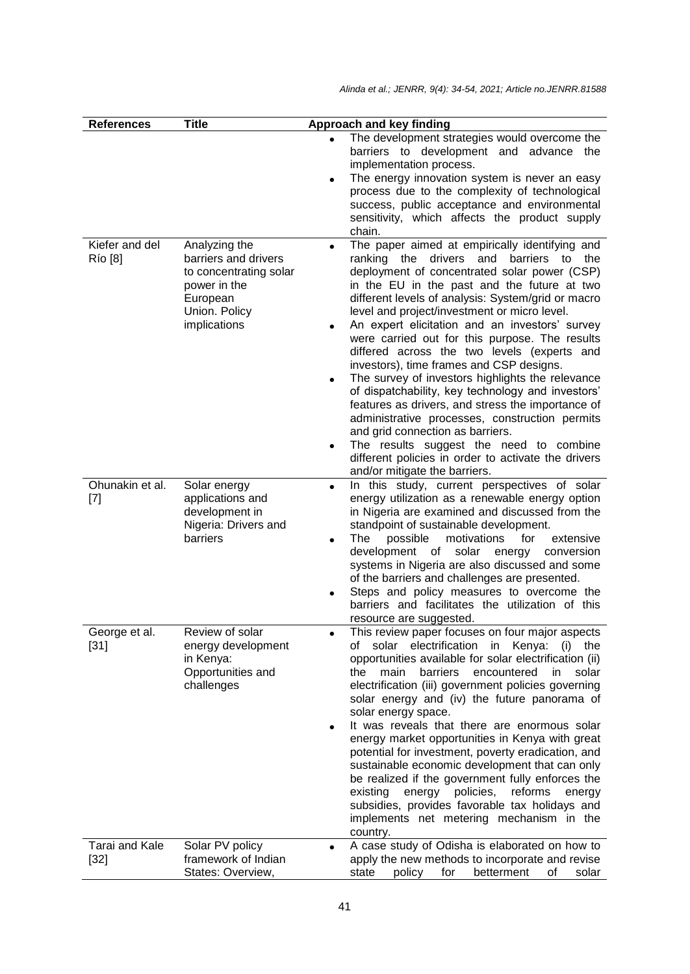| <b>References</b>                                                                                                                                                                                          | <b>Title</b>                                                                                                                                 | Approach and key finding                                                                                                                                                                                                                                                                                                                                                                                                                                                                                                                                                                                                                                                                                                                                                                                                                                                                                                             |  |  |
|------------------------------------------------------------------------------------------------------------------------------------------------------------------------------------------------------------|----------------------------------------------------------------------------------------------------------------------------------------------|--------------------------------------------------------------------------------------------------------------------------------------------------------------------------------------------------------------------------------------------------------------------------------------------------------------------------------------------------------------------------------------------------------------------------------------------------------------------------------------------------------------------------------------------------------------------------------------------------------------------------------------------------------------------------------------------------------------------------------------------------------------------------------------------------------------------------------------------------------------------------------------------------------------------------------------|--|--|
|                                                                                                                                                                                                            |                                                                                                                                              | The development strategies would overcome the<br>barriers to development and advance the<br>implementation process.<br>The energy innovation system is never an easy<br>$\bullet$<br>process due to the complexity of technological<br>success, public acceptance and environmental<br>sensitivity, which affects the product supply<br>chain.                                                                                                                                                                                                                                                                                                                                                                                                                                                                                                                                                                                       |  |  |
| Kiefer and del<br>Río [8]<br>Ohunakin et al.                                                                                                                                                               | Analyzing the<br>barriers and drivers<br>to concentrating solar<br>power in the<br>European<br>Union. Policy<br>implications<br>Solar energy | The paper aimed at empirically identifying and<br>ranking the drivers and barriers to the<br>deployment of concentrated solar power (CSP)<br>in the EU in the past and the future at two<br>different levels of analysis: System/grid or macro<br>level and project/investment or micro level.<br>An expert elicitation and an investors' survey<br>were carried out for this purpose. The results<br>differed across the two levels (experts and<br>investors), time frames and CSP designs.<br>The survey of investors highlights the relevance<br>of dispatchability, key technology and investors'<br>features as drivers, and stress the importance of<br>administrative processes, construction permits<br>and grid connection as barriers.<br>The results suggest the need to combine<br>different policies in order to activate the drivers<br>and/or mitigate the barriers.<br>In this study, current perspectives of solar |  |  |
| $[7] % \includegraphics[width=0.9\columnwidth]{figures/fig_10.pdf} \caption{The 3D (black) model for the estimators in the left and right. The left and right is the same as in the right.} \label{fig:2}$ | applications and<br>development in<br>Nigeria: Drivers and<br>barriers                                                                       | $\bullet$<br>energy utilization as a renewable energy option<br>in Nigeria are examined and discussed from the<br>standpoint of sustainable development.<br>possible<br>motivations<br>for<br>The<br>extensive<br>$\bullet$<br>development of<br>solar<br>conversion<br>energy<br>systems in Nigeria are also discussed and some<br>of the barriers and challenges are presented.<br>Steps and policy measures to overcome the<br>barriers and facilitates the utilization of this<br>resource are suggested.                                                                                                                                                                                                                                                                                                                                                                                                                        |  |  |
| George et al.<br>$[31]$                                                                                                                                                                                    | Review of solar<br>energy development<br>in Kenya:<br>Opportunities and<br>challenges                                                        | This review paper focuses on four major aspects<br>solar electrification in Kenya:<br>of<br>$(i)$ the<br>opportunities available for solar electrification (ii)<br>barriers<br>encountered<br>main<br>solar<br>the<br>in.<br>electrification (iii) government policies governing<br>solar energy and (iv) the future panorama of<br>solar energy space.<br>It was reveals that there are enormous solar<br>energy market opportunities in Kenya with great<br>potential for investment, poverty eradication, and<br>sustainable economic development that can only<br>be realized if the government fully enforces the<br>energy policies, reforms<br>existing<br>energy<br>subsidies, provides favorable tax holidays and<br>implements net metering mechanism in the<br>country.                                                                                                                                                   |  |  |
| Tarai and Kale<br>$[32]$                                                                                                                                                                                   | Solar PV policy<br>framework of Indian<br>States: Overview,                                                                                  | A case study of Odisha is elaborated on how to<br>$\bullet$<br>apply the new methods to incorporate and revise<br>betterment<br>state<br>policy<br>for<br>οf<br>solar                                                                                                                                                                                                                                                                                                                                                                                                                                                                                                                                                                                                                                                                                                                                                                |  |  |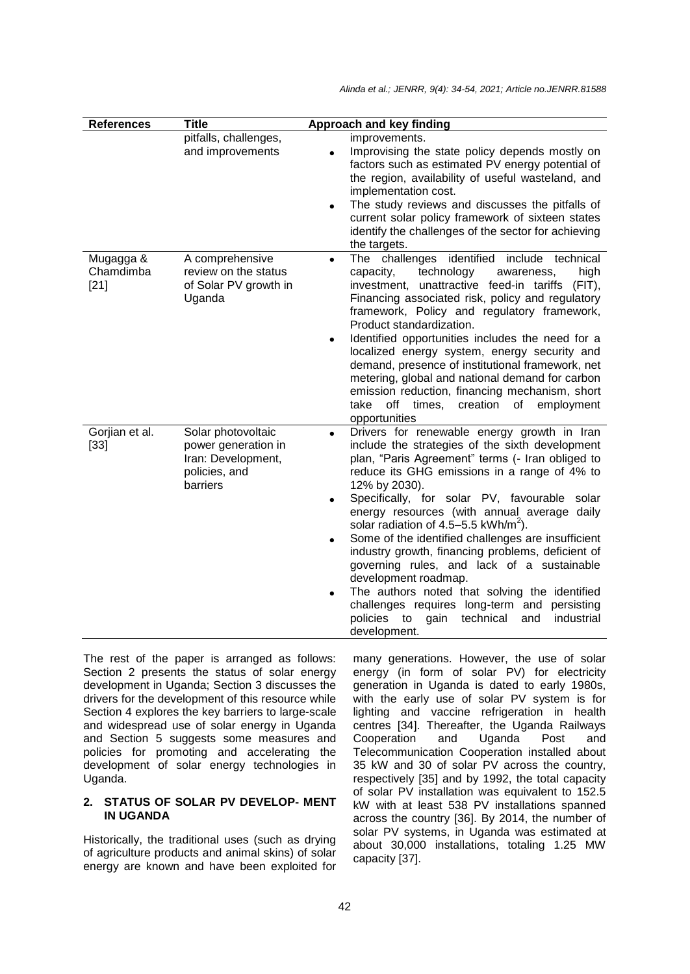| <b>References</b>                | <b>Title</b>                                                                                 | Approach and key finding                                                                                                                                                                                                                                                                                                                                                                                                                                                                                                                                                                                                                                                                                                                                                    |
|----------------------------------|----------------------------------------------------------------------------------------------|-----------------------------------------------------------------------------------------------------------------------------------------------------------------------------------------------------------------------------------------------------------------------------------------------------------------------------------------------------------------------------------------------------------------------------------------------------------------------------------------------------------------------------------------------------------------------------------------------------------------------------------------------------------------------------------------------------------------------------------------------------------------------------|
|                                  | pitfalls, challenges,<br>and improvements                                                    | improvements.<br>Improvising the state policy depends mostly on<br>$\bullet$<br>factors such as estimated PV energy potential of<br>the region, availability of useful wasteland, and<br>implementation cost.<br>The study reviews and discusses the pitfalls of<br>current solar policy framework of sixteen states<br>identify the challenges of the sector for achieving<br>the targets.                                                                                                                                                                                                                                                                                                                                                                                 |
| Mugagga &<br>Chamdimba<br>$[21]$ | A comprehensive<br>review on the status<br>of Solar PV growth in<br>Uganda                   | The challenges identified<br>include technical<br>$\bullet$<br>capacity,<br>technology<br>awareness,<br>high<br>investment, unattractive feed-in tariffs (FIT),<br>Financing associated risk, policy and regulatory<br>framework, Policy and regulatory framework,<br>Product standardization.<br>Identified opportunities includes the need for a<br>localized energy system, energy security and<br>demand, presence of institutional framework, net<br>metering, global and national demand for carbon<br>emission reduction, financing mechanism, short<br>off times,<br>creation<br>of<br>take<br>employment<br>opportunities                                                                                                                                          |
| Gorjian et al.<br>$[33]$         | Solar photovoltaic<br>power generation in<br>Iran: Development,<br>policies, and<br>barriers | Drivers for renewable energy growth in Iran<br>$\bullet$<br>include the strategies of the sixth development<br>plan, "Paris Agreement" terms (- Iran obliged to<br>reduce its GHG emissions in a range of 4% to<br>12% by 2030).<br>Specifically, for solar PV, favourable solar<br>energy resources (with annual average daily<br>solar radiation of 4.5–5.5 kWh/m <sup>2</sup> ).<br>Some of the identified challenges are insufficient<br>$\bullet$<br>industry growth, financing problems, deficient of<br>governing rules, and lack of a sustainable<br>development roadmap.<br>The authors noted that solving the identified<br>$\bullet$<br>challenges requires long-term and persisting<br>policies<br>technical<br>industrial<br>to<br>gain<br>and<br>development. |

The rest of the paper is arranged as follows: Section 2 presents the status of solar energy development in Uganda; Section 3 discusses the drivers for the development of this resource while Section 4 explores the key barriers to large-scale and widespread use of solar energy in Uganda and Section 5 suggests some measures and policies for promoting and accelerating the development of solar energy technologies in Uganda.

### **2. STATUS OF SOLAR PV DEVELOP- MENT IN UGANDA**

Historically, the traditional uses (such as drying of agriculture products and animal skins) of solar energy are known and have been exploited for many generations. However, the use of solar energy (in form of solar PV) for electricity generation in Uganda is dated to early 1980s, with the early use of solar PV system is for lighting and vaccine refrigeration in health centres [34]. Thereafter, the Uganda Railways Cooperation and Uganda Post and Telecommunication Cooperation installed about 35 kW and 30 of solar PV across the country, respectively [35] and by 1992, the total capacity of solar PV installation was equivalent to 152.5 kW with at least 538 PV installations spanned across the country [36]. By 2014, the number of solar PV systems, in Uganda was estimated at about 30,000 installations, totaling 1.25 MW capacity [37].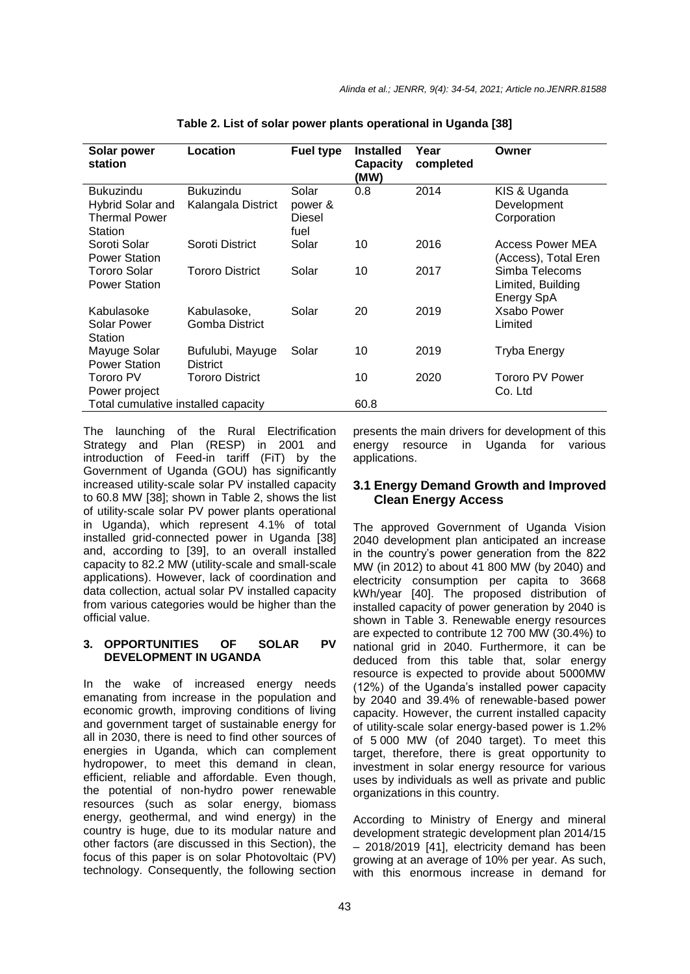| Solar power<br>station                                           | Location                               | <b>Fuel type</b>                   | <b>Installed</b><br><b>Capacity</b><br>(MW) | Year<br>completed | Owner                                             |
|------------------------------------------------------------------|----------------------------------------|------------------------------------|---------------------------------------------|-------------------|---------------------------------------------------|
| Bukuzindu<br>Hybrid Solar and<br><b>Thermal Power</b><br>Station | <b>Bukuzindu</b><br>Kalangala District | Solar<br>power &<br>Diesel<br>fuel | 0.8                                         | 2014              | KIS & Uganda<br>Development<br>Corporation        |
| Soroti Solar<br><b>Power Station</b>                             | Soroti District                        | Solar                              | 10                                          | 2016              | Access Power MEA<br>(Access), Total Eren          |
| Tororo Solar<br><b>Power Station</b>                             | <b>Tororo District</b>                 | Solar                              | 10                                          | 2017              | Simba Telecoms<br>Limited, Building<br>Energy SpA |
| Kabulasoke<br>Solar Power<br>Station                             | Kabulasoke,<br>Gomba District          | Solar                              | 20                                          | 2019              | Xsabo Power<br>Limited                            |
| Mayuge Solar<br><b>Power Station</b>                             | Bufulubi, Mayuge<br><b>District</b>    | Solar                              | 10                                          | 2019              | <b>Tryba Energy</b>                               |
| Tororo PV<br>Power project                                       | <b>Tororo District</b>                 |                                    | 10                                          | 2020              | Tororo PV Power<br>Co. Ltd                        |
| Total cumulative installed capacity                              |                                        | 60.8                               |                                             |                   |                                                   |

**Table 2. List of solar power plants operational in Uganda [38]**

The launching of the Rural Electrification Strategy and Plan (RESP) in 2001 and introduction of Feed-in tariff (FiT) by the Government of Uganda (GOU) has significantly increased utility-scale solar PV installed capacity to 60.8 MW [38]; shown in Table 2, shows the list of utility-scale solar PV power plants operational in Uganda), which represent 4.1% of total installed grid-connected power in Uganda [38] and, according to [39], to an overall installed capacity to 82.2 MW (utility-scale and small-scale applications). However, lack of coordination and data collection, actual solar PV installed capacity from various categories would be higher than the official value.

### **3. OPPORTUNITIES OF SOLAR PV DEVELOPMENT IN UGANDA**

In the wake of increased energy needs emanating from increase in the population and economic growth, improving conditions of living and government target of sustainable energy for all in 2030, there is need to find other sources of energies in Uganda, which can complement hydropower, to meet this demand in clean, efficient, reliable and affordable. Even though, the potential of non-hydro power renewable resources (such as solar energy, biomass energy, geothermal, and wind energy) in the country is huge, due to its modular nature and other factors (are discussed in this Section), the focus of this paper is on solar Photovoltaic (PV) technology. Consequently, the following section

presents the main drivers for development of this energy resource in Uganda for various applications.

# **3.1 Energy Demand Growth and Improved Clean Energy Access**

The approved Government of Uganda Vision 2040 development plan anticipated an increase in the country's power generation from the 822 MW (in 2012) to about 41 800 MW (by 2040) and electricity consumption per capita to 3668 kWh/year [40]. The proposed distribution of installed capacity of power generation by 2040 is shown in Table 3. Renewable energy resources are expected to contribute 12 700 MW (30.4%) to national grid in 2040. Furthermore, it can be deduced from this table that, solar energy resource is expected to provide about 5000MW (12%) of the Uganda's installed power capacity by 2040 and 39.4% of renewable-based power capacity. However, the current installed capacity of utility-scale solar energy-based power is 1.2% of 5 000 MW (of 2040 target). To meet this target, therefore, there is great opportunity to investment in solar energy resource for various uses by individuals as well as private and public organizations in this country.

According to Ministry of Energy and mineral development strategic development plan 2014/15 – 2018/2019 [41], electricity demand has been growing at an average of 10% per year. As such, with this enormous increase in demand for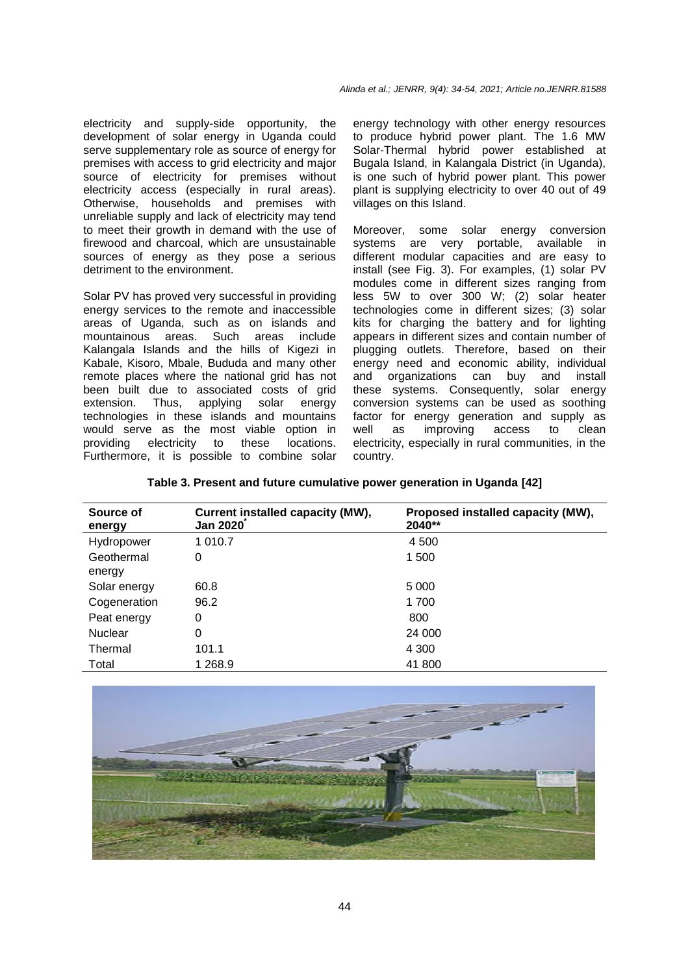electricity and supply-side opportunity, the development of solar energy in Uganda could serve supplementary role as source of energy for premises with access to grid electricity and major source of electricity for premises without electricity access (especially in rural areas). Otherwise, households and premises with unreliable supply and lack of electricity may tend to meet their growth in demand with the use of firewood and charcoal, which are unsustainable sources of energy as they pose a serious detriment to the environment.

Solar PV has proved very successful in providing energy services to the remote and inaccessible areas of Uganda, such as on islands and mountainous areas. Such areas include Kalangala Islands and the hills of Kigezi in Kabale, Kisoro, Mbale, Bududa and many other remote places where the national grid has not been built due to associated costs of grid extension. Thus, applying solar energy technologies in these islands and mountains would serve as the most viable option in providing electricity to these locations. Furthermore, it is possible to combine solar

energy technology with other energy resources to produce hybrid power plant. The 1.6 MW Solar-Thermal hybrid power established at Bugala Island, in Kalangala District (in Uganda), is one such of hybrid power plant. This power plant is supplying electricity to over 40 out of 49 villages on this Island.

Moreover, some solar energy conversion systems are very portable, available in different modular capacities and are easy to install (see Fig. 3). For examples, (1) solar PV modules come in different sizes ranging from less 5W to over 300 W; (2) solar heater technologies come in different sizes; (3) solar kits for charging the battery and for lighting appears in different sizes and contain number of plugging outlets. Therefore, based on their energy need and economic ability, individual and organizations can buy and install these systems. Consequently, solar energy conversion systems can be used as soothing factor for energy generation and supply as well as improving access to clean electricity, especially in rural communities, in the country.

| Table 3. Present and future cumulative power generation in Uganda [42] |  |  |  |  |  |  |  |  |  |
|------------------------------------------------------------------------|--|--|--|--|--|--|--|--|--|
|------------------------------------------------------------------------|--|--|--|--|--|--|--|--|--|

| Source of<br>energy  | Current installed capacity (MW),<br><b>Jan 2020</b> | Proposed installed capacity (MW),<br>2040** |
|----------------------|-----------------------------------------------------|---------------------------------------------|
| Hydropower           | 1 010.7                                             | 4 500                                       |
| Geothermal<br>energy | 0                                                   | 1 500                                       |
| Solar energy         | 60.8                                                | 5 0 0 0                                     |
| Cogeneration         | 96.2                                                | 1 700                                       |
| Peat energy          | 0                                                   | 800                                         |
| <b>Nuclear</b>       | 0                                                   | 24 000                                      |
| Thermal              | 101.1                                               | 4 300                                       |
| Total                | 1 268.9                                             | 41 800                                      |

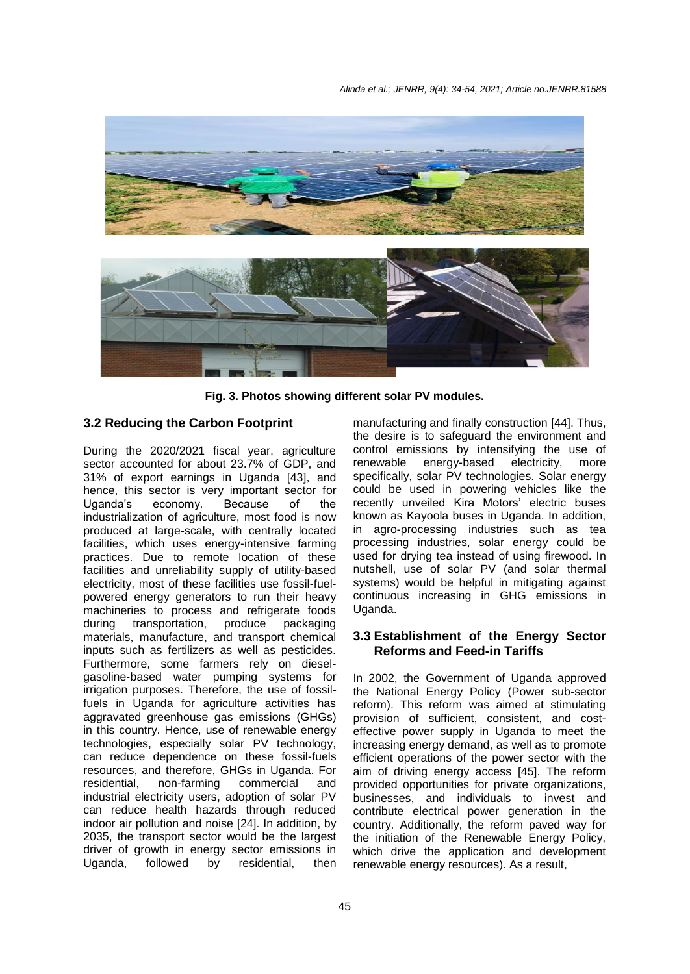

**Fig. 3. Photos showing different solar PV modules.**

# **3.2 Reducing the Carbon Footprint**

During the 2020/2021 fiscal year, agriculture sector accounted for about 23.7% of GDP, and 31% of export earnings in Uganda [43], and hence, this sector is very important sector for Uganda's economy. Because of the industrialization of agriculture, most food is now produced at large-scale, with centrally located facilities, which uses energy-intensive farming practices. Due to remote location of these facilities and unreliability supply of utility-based electricity, most of these facilities use fossil-fuelpowered energy generators to run their heavy machineries to process and refrigerate foods<br>during transportation, produce packaging during transportation, produce packaging materials, manufacture, and transport chemical inputs such as fertilizers as well as pesticides. Furthermore, some farmers rely on dieselgasoline-based water pumping systems for irrigation purposes. Therefore, the use of fossilfuels in Uganda for agriculture activities has aggravated greenhouse gas emissions (GHGs) in this country. Hence, use of renewable energy technologies, especially solar PV technology, can reduce dependence on these fossil-fuels resources, and therefore, GHGs in Uganda. For residential, non-farming commercial and industrial electricity users, adoption of solar PV can reduce health hazards through reduced indoor air pollution and noise [24]. In addition, by 2035, the transport sector would be the largest driver of growth in energy sector emissions in Uganda, followed by residential, then

manufacturing and finally construction [44]. Thus, the desire is to safeguard the environment and control emissions by intensifying the use of renewable energy-based electricity, more specifically, solar PV technologies. Solar energy could be used in powering vehicles like the recently unveiled Kira Motors' electric buses known as Kayoola buses in Uganda. In addition, in agro-processing industries such as tea processing industries, solar energy could be used for drying tea instead of using firewood. In nutshell, use of solar PV (and solar thermal systems) would be helpful in mitigating against continuous increasing in GHG emissions in Uganda.

# **3.3 Establishment of the Energy Sector Reforms and Feed-in Tariffs**

In 2002, the Government of Uganda approved the National Energy Policy (Power sub-sector reform). This reform was aimed at stimulating provision of sufficient, consistent, and costeffective power supply in Uganda to meet the increasing energy demand, as well as to promote efficient operations of the power sector with the aim of driving energy access [45]. The reform provided opportunities for private organizations, businesses, and individuals to invest and contribute electrical power generation in the country. Additionally, the reform paved way for the initiation of the Renewable Energy Policy, which drive the application and development renewable energy resources). As a result,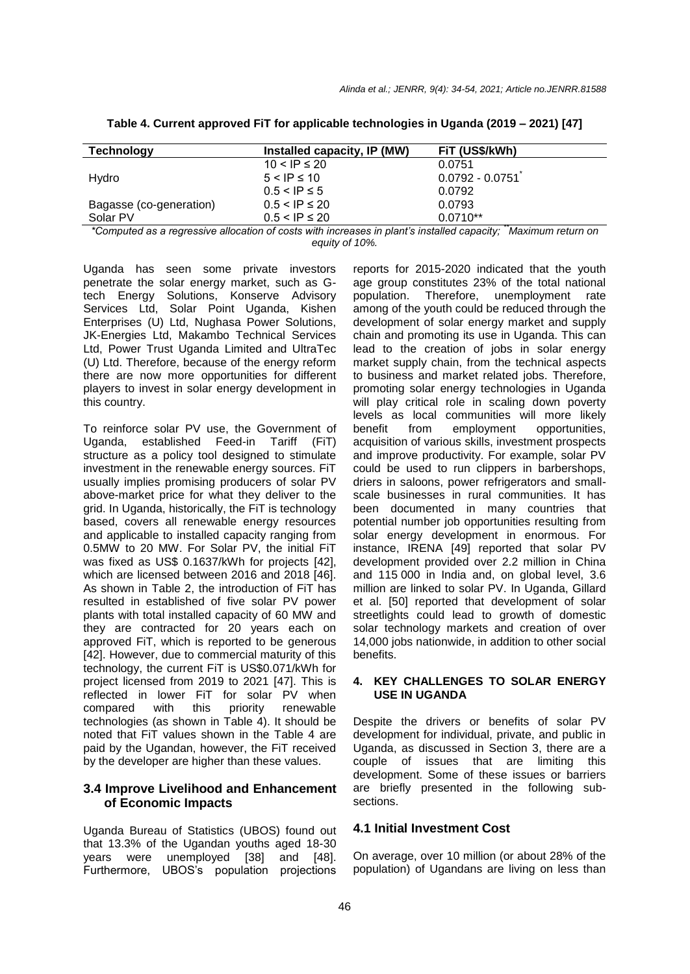| <b>Technology</b>                                                                                              | Installed capacity, IP (MW) | FiT (US\$/kWh)    |  |  |
|----------------------------------------------------------------------------------------------------------------|-----------------------------|-------------------|--|--|
|                                                                                                                | $10 < IP \le 20$            | 0.0751            |  |  |
| Hvdro                                                                                                          | $5 < IP \le 10$             | $0.0792 - 0.0751$ |  |  |
|                                                                                                                | $0.5 <$ IP $\leq 5$         | 0.0792            |  |  |
| Bagasse (co-generation)                                                                                        | $0.5 <$ IP $\leq 20$        | 0.0793            |  |  |
| Solar PV                                                                                                       | $0.5 < IP \leq 20$          | $0.0710**$        |  |  |
| *Osmandad es a respective allegation of sects with inspectes in plantic installed especific Movimum returns on |                             |                   |  |  |

**Table 4. Current approved FiT for applicable technologies in Uganda (2019 – 2021) [47]**

*\*Computed as a regressive allocation of costs with increases in plant's installed capacity; \*\*Maximum return on equity of 10%.*

Uganda has seen some private investors penetrate the solar energy market, such as Gtech Energy Solutions, Konserve Advisory Services Ltd, Solar Point Uganda, Kishen Enterprises (U) Ltd, Nughasa Power Solutions, JK-Energies Ltd, Makambo Technical Services Ltd, Power Trust Uganda Limited and UltraTec (U) Ltd. Therefore, because of the energy reform there are now more opportunities for different players to invest in solar energy development in this country.

To reinforce solar PV use, the Government of Uganda, established Feed-in Tariff (FiT) structure as a policy tool designed to stimulate investment in the renewable energy sources. FiT usually implies promising producers of solar PV above-market price for what they deliver to the grid. In Uganda, historically, the FiT is technology based, covers all renewable energy resources and applicable to installed capacity ranging from 0.5MW to 20 MW. For Solar PV, the initial FiT was fixed as US\$ 0.1637/kWh for projects [42], which are licensed between 2016 and 2018 [46]. As shown in Table 2, the introduction of FiT has resulted in established of five solar PV power plants with total installed capacity of 60 MW and they are contracted for 20 years each on approved FiT, which is reported to be generous [42]. However, due to commercial maturity of this technology, the current FiT is US\$0.071/kWh for project licensed from 2019 to 2021 [47]. This is reflected in lower FiT for solar PV when<br>compared with this priority renewable compared with this priority renewable technologies (as shown in Table 4). It should be noted that FiT values shown in the Table 4 are paid by the Ugandan, however, the FiT received by the developer are higher than these values.

### **3.4 Improve Livelihood and Enhancement of Economic Impacts**

Uganda Bureau of Statistics (UBOS) found out that 13.3% of the Ugandan youths aged 18-30 years were unemployed [38] and [48]. Furthermore, UBOS's population projections

reports for 2015-2020 indicated that the youth age group constitutes 23% of the total national population. Therefore, unemployment rate among of the youth could be reduced through the development of solar energy market and supply chain and promoting its use in Uganda. This can lead to the creation of jobs in solar energy market supply chain, from the technical aspects to business and market related jobs. Therefore, promoting solar energy technologies in Uganda will play critical role in scaling down poverty levels as local communities will more likely benefit from employment opportunities, acquisition of various skills, investment prospects and improve productivity. For example, solar PV could be used to run clippers in barbershops, driers in saloons, power refrigerators and smallscale businesses in rural communities. It has been documented in many countries that potential number job opportunities resulting from solar energy development in enormous. For instance, IRENA [49] reported that solar PV development provided over 2.2 million in China and 115 000 in India and, on global level, 3.6 million are linked to solar PV. In Uganda, Gillard et al. [50] reported that development of solar streetlights could lead to growth of domestic solar technology markets and creation of over 14,000 jobs nationwide, in addition to other social benefits.

### **4. KEY CHALLENGES TO SOLAR ENERGY USE IN UGANDA**

Despite the drivers or benefits of solar PV development for individual, private, and public in Uganda, as discussed in Section 3, there are a couple of issues that are limiting this development. Some of these issues or barriers are briefly presented in the following subsections.

### **4.1 Initial Investment Cost**

On average, over 10 million (or about 28% of the population) of Ugandans are living on less than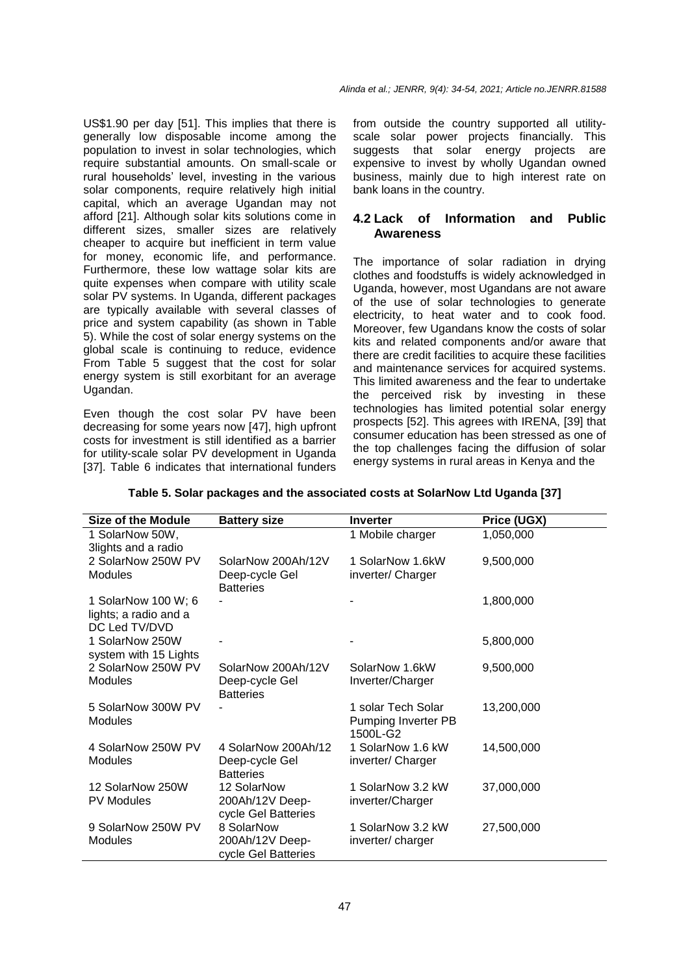US\$1.90 per day [51]. This implies that there is generally low disposable income among the population to invest in solar technologies, which require substantial amounts. On small-scale or rural households' level, investing in the various solar components, require relatively high initial capital, which an average Ugandan may not afford [21]. Although solar kits solutions come in different sizes, smaller sizes are relatively cheaper to acquire but inefficient in term value for money, economic life, and performance. Furthermore, these low wattage solar kits are quite expenses when compare with utility scale solar PV systems. In Uganda, different packages are typically available with several classes of price and system capability (as shown in Table 5). While the cost of solar energy systems on the global scale is continuing to reduce, evidence From Table 5 suggest that the cost for solar energy system is still exorbitant for an average Ugandan.

Even though the cost solar PV have been decreasing for some years now [47], high upfront costs for investment is still identified as a barrier for utility-scale solar PV development in Uganda [37]. Table 6 indicates that international funders from outside the country supported all utilityscale solar power projects financially. This suggests that solar energy projects are expensive to invest by wholly Ugandan owned business, mainly due to high interest rate on bank loans in the country.

# **4.2 Lack of Information and Public Awareness**

The importance of solar radiation in drying clothes and foodstuffs is widely acknowledged in Uganda, however, most Ugandans are not aware of the use of solar technologies to generate electricity, to heat water and to cook food. Moreover, few Ugandans know the costs of solar kits and related components and/or aware that there are credit facilities to acquire these facilities and maintenance services for acquired systems. This limited awareness and the fear to undertake the perceived risk by investing in these technologies has limited potential solar energy prospects [52]. This agrees with IRENA, [39] that consumer education has been stressed as one of the top challenges facing the diffusion of solar energy systems in rural areas in Kenya and the

| <b>Size of the Module</b>                                     | <b>Battery size</b>                                       | <b>Inverter</b>                                       | Price (UGX) |
|---------------------------------------------------------------|-----------------------------------------------------------|-------------------------------------------------------|-------------|
| 1 SolarNow 50W,<br>3lights and a radio                        |                                                           | 1 Mobile charger                                      | 1,050,000   |
| 2 SolarNow 250W PV<br><b>Modules</b>                          | SolarNow 200Ah/12V<br>Deep-cycle Gel<br><b>Batteries</b>  | 1 SolarNow 1.6kW<br>inverter/ Charger                 | 9,500,000   |
| 1 SolarNow 100 W; 6<br>lights; a radio and a<br>DC Led TV/DVD |                                                           |                                                       | 1,800,000   |
| 1 SolarNow 250W<br>system with 15 Lights                      |                                                           |                                                       | 5,800,000   |
| 2 SolarNow 250W PV<br><b>Modules</b>                          | SolarNow 200Ah/12V<br>Deep-cycle Gel<br><b>Batteries</b>  | SolarNow 1.6kW<br>Inverter/Charger                    | 9,500,000   |
| 5 SolarNow 300W PV<br><b>Modules</b>                          |                                                           | 1 solar Tech Solar<br>Pumping Inverter PB<br>1500L-G2 | 13,200,000  |
| 4 SolarNow 250W PV<br><b>Modules</b>                          | 4 SolarNow 200Ah/12<br>Deep-cycle Gel<br><b>Batteries</b> | 1 SolarNow 1.6 kW<br>inverter/ Charger                | 14,500,000  |
| 12 SolarNow 250W<br><b>PV Modules</b>                         | 12 SolarNow<br>200Ah/12V Deep-<br>cycle Gel Batteries     | 1 SolarNow 3.2 kW<br>inverter/Charger                 | 37,000,000  |
| 9 SolarNow 250W PV<br>Modules                                 | 8 SolarNow<br>200Ah/12V Deep-<br>cycle Gel Batteries      | 1 SolarNow 3.2 kW<br>inverter/charger                 | 27,500,000  |

# **Table 5. Solar packages and the associated costs at SolarNow Ltd Uganda [37]**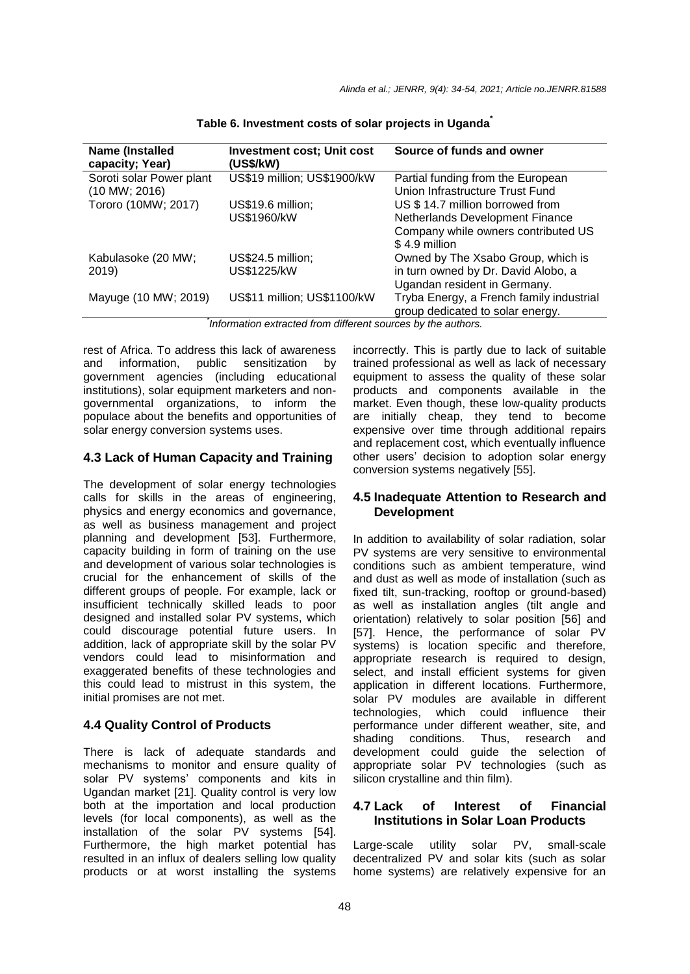| Name (Installed<br>capacity; Year) | <b>Investment cost; Unit cost</b><br>(US\$/kW) | Source of funds and owner                |
|------------------------------------|------------------------------------------------|------------------------------------------|
| Soroti solar Power plant           | US\$19 million; US\$1900/kW                    | Partial funding from the European        |
| $(10$ MW; 2016)                    |                                                | Union Infrastructure Trust Fund          |
| Tororo (10MW; 2017)                | US\$19.6 million;                              | US \$14.7 million borrowed from          |
|                                    | US\$1960/kW                                    | Netherlands Development Finance          |
|                                    |                                                | Company while owners contributed US      |
|                                    |                                                | \$4.9 million                            |
| Kabulasoke (20 MW;                 | US\$24.5 million;                              | Owned by The Xsabo Group, which is       |
| 2019)                              | US\$1225/kW                                    | in turn owned by Dr. David Alobo, a      |
|                                    |                                                | Ugandan resident in Germany.             |
| Mayuge (10 MW; 2019)               | US\$11 million; US\$1100/kW                    | Tryba Energy, a French family industrial |
|                                    |                                                | group dedicated to solar energy.         |

**Table 6. Investment costs of solar projects in Uganda\***

*\* Information extracted from different sources by the authors.*

rest of Africa. To address this lack of awareness and information, public sensitization by government agencies (including educational institutions), solar equipment marketers and nongovernmental organizations, to inform the populace about the benefits and opportunities of solar energy conversion systems uses.

# **4.3 Lack of Human Capacity and Training**

The development of solar energy technologies calls for skills in the areas of engineering, physics and energy economics and governance, as well as business management and project planning and development [53]. Furthermore, capacity building in form of training on the use and development of various solar technologies is crucial for the enhancement of skills of the different groups of people. For example, lack or insufficient technically skilled leads to poor designed and installed solar PV systems, which could discourage potential future users. In addition, lack of appropriate skill by the solar PV vendors could lead to misinformation and exaggerated benefits of these technologies and this could lead to mistrust in this system, the initial promises are not met.

# **4.4 Quality Control of Products**

There is lack of adequate standards and mechanisms to monitor and ensure quality of solar PV systems' components and kits in Ugandan market [21]. Quality control is very low both at the importation and local production levels (for local components), as well as the installation of the solar PV systems [54]. Furthermore, the high market potential has resulted in an influx of dealers selling low quality products or at worst installing the systems

incorrectly. This is partly due to lack of suitable trained professional as well as lack of necessary equipment to assess the quality of these solar products and components available in the market. Even though, these low-quality products are initially cheap, they tend to become expensive over time through additional repairs and replacement cost, which eventually influence other users' decision to adoption solar energy conversion systems negatively [55].

# **4.5 Inadequate Attention to Research and Development**

In addition to availability of solar radiation, solar PV systems are very sensitive to environmental conditions such as ambient temperature, wind and dust as well as mode of installation (such as fixed tilt, sun-tracking, rooftop or ground-based) as well as installation angles (tilt angle and orientation) relatively to solar position [56] and [57]. Hence, the performance of solar PV systems) is location specific and therefore, appropriate research is required to design, select, and install efficient systems for given application in different locations. Furthermore, solar PV modules are available in different technologies, which could influence their performance under different weather, site, and shading conditions. Thus, research and development could guide the selection of appropriate solar PV technologies (such as silicon crystalline and thin film).

# **4.7 Lack of Interest of Financial Institutions in Solar Loan Products**

Large-scale utility solar PV, small-scale decentralized PV and solar kits (such as solar home systems) are relatively expensive for an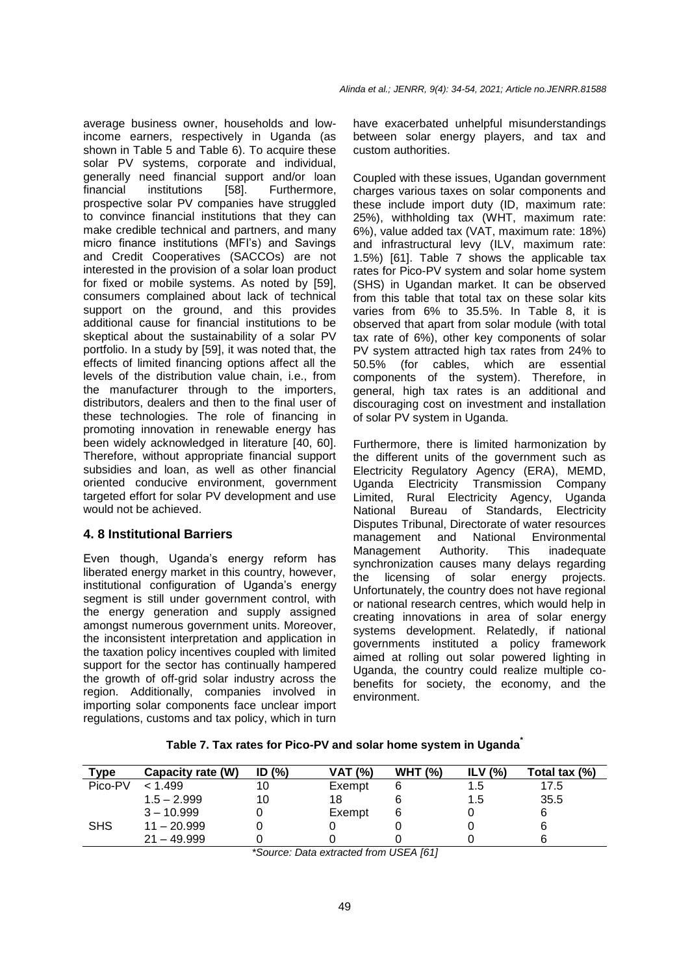average business owner, households and lowincome earners, respectively in Uganda (as shown in Table 5 and Table 6). To acquire these solar PV systems, corporate and individual, generally need financial support and/or loan financial institutions [58]. Furthermore, prospective solar PV companies have struggled to convince financial institutions that they can make credible technical and partners, and many micro finance institutions (MFI's) and Savings and Credit Cooperatives (SACCOs) are not interested in the provision of a solar loan product for fixed or mobile systems. As noted by [59], consumers complained about lack of technical support on the ground, and this provides additional cause for financial institutions to be skeptical about the sustainability of a solar PV portfolio. In a study by [59], it was noted that, the effects of limited financing options affect all the levels of the distribution value chain, i.e., from the manufacturer through to the importers, distributors, dealers and then to the final user of these technologies. The role of financing in promoting innovation in renewable energy has been widely acknowledged in literature [40, 60]. Therefore, without appropriate financial support subsidies and loan, as well as other financial oriented conducive environment, government targeted effort for solar PV development and use would not be achieved.

# **4. 8 Institutional Barriers**

Even though, Uganda's energy reform has liberated energy market in this country, however, institutional configuration of Uganda's energy segment is still under government control, with the energy generation and supply assigned amongst numerous government units. Moreover, the inconsistent interpretation and application in the taxation policy incentives coupled with limited support for the sector has continually hampered the growth of off-grid solar industry across the region. Additionally, companies involved in importing solar components face unclear import regulations, customs and tax policy, which in turn

have exacerbated unhelpful misunderstandings between solar energy players, and tax and custom authorities.

Coupled with these issues, Ugandan government charges various taxes on solar components and these include import duty (ID, maximum rate: 25%), withholding tax (WHT, maximum rate: 6%), value added tax (VAT, maximum rate: 18%) and infrastructural levy (ILV, maximum rate: 1.5%) [61]. Table 7 shows the applicable tax rates for Pico-PV system and solar home system (SHS) in Ugandan market. It can be observed from this table that total tax on these solar kits varies from 6% to 35.5%. In Table 8, it is observed that apart from solar module (with total tax rate of 6%), other key components of solar PV system attracted high tax rates from 24% to 50.5% (for cables, which are essential components of the system). Therefore, in general, high tax rates is an additional and discouraging cost on investment and installation of solar PV system in Uganda.

Furthermore, there is limited harmonization by the different units of the government such as Electricity Regulatory Agency (ERA), MEMD, Uganda Electricity Transmission Company Limited, Rural Electricity Agency, Uganda National Bureau of Standards, Electricity Disputes Tribunal, Directorate of water resources management and National Environmental Management Authority. This inadequate synchronization causes many delays regarding the licensing of solar energy projects. Unfortunately, the country does not have regional or national research centres, which would help in creating innovations in area of solar energy systems development. Relatedly, if national governments instituted a policy framework aimed at rolling out solar powered lighting in Uganda, the country could realize multiple cobenefits for society, the economy, and the environment.

|  |  | Table 7. Tax rates for Pico-PV and solar home system in Uganda |  |
|--|--|----------------------------------------------------------------|--|
|  |  |                                                                |  |
|  |  |                                                                |  |

| Type       | Capacity rate (W) | ID $(%)$ | <b>VAT (%)</b> | <b>WHT (%)</b> | ILV $(%)$ | Total tax (%) |
|------------|-------------------|----------|----------------|----------------|-----------|---------------|
| Pico-PV    | < 1.499           | 10       | Exempt         |                | 1.5       | 17.5          |
|            | $1.5 - 2.999$     | 10       | 18             |                | 1.5       | 35.5          |
|            | $3 - 10.999$      |          | Exempt         |                |           |               |
| <b>SHS</b> | $11 - 20.999$     |          |                |                |           |               |
|            | $21 - 49.999$     |          |                |                |           |               |

*\*Source: Data extracted from USEA [61]*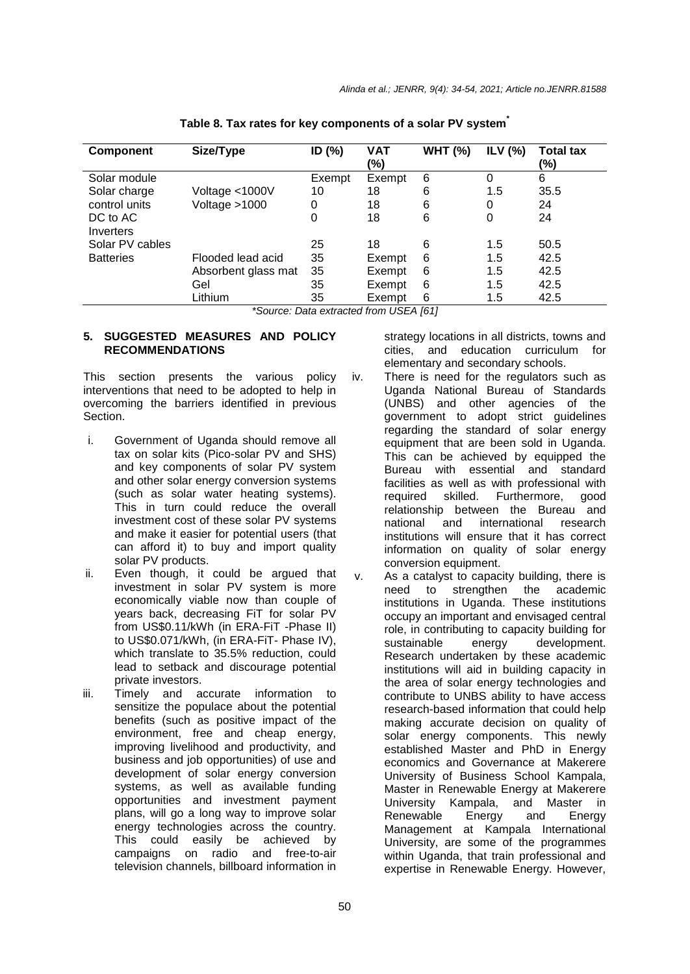| Component        | Size/Type                 | ID $(%)$ | <b>VAT</b><br>(%)           | <b>WHT (%)</b> | ILV $(%)$ | <b>Total tax</b><br>(%) |
|------------------|---------------------------|----------|-----------------------------|----------------|-----------|-------------------------|
| Solar module     |                           | Exempt   | Exempt                      | 6              | 0         | 6                       |
| Solar charge     | Voltage <1000V            | 10       | 18                          | 6              | 1.5       | 35.5                    |
| control units    | Voltage >1000             | 0        | 18                          | 6              | 0         | 24                      |
| DC to AC         |                           | 0        | 18                          | 6              | 0         | 24                      |
| Inverters        |                           |          |                             |                |           |                         |
| Solar PV cables  |                           | 25       | 18                          | 6              | 1.5       | 50.5                    |
| <b>Batteries</b> | Flooded lead acid         | 35       | Exempt                      | 6              | 1.5       | 42.5                    |
|                  | Absorbent glass mat       | 35       | Exempt                      | 6              | 1.5       | 42.5                    |
|                  | Gel                       | 35       | Exempt                      | 6              | 1.5       | 42.5                    |
|                  | Lithium<br>$\overline{a}$ | 35       | Exempt<br>$\cdots$ $\cdots$ | 6              | 1.5       | 42.5                    |

**Table 8. Tax rates for key components of a solar PV system\***

*\*Source: Data extracted from USEA [61]*

#### **5. SUGGESTED MEASURES AND POLICY RECOMMENDATIONS**

This section presents the various policy interventions that need to be adopted to help in overcoming the barriers identified in previous **Section** 

- i. Government of Uganda should remove all tax on solar kits (Pico-solar PV and SHS) and key components of solar PV system and other solar energy conversion systems (such as solar water heating systems). This in turn could reduce the overall investment cost of these solar PV systems and make it easier for potential users (that can afford it) to buy and import quality solar PV products.
- ii. Even though, it could be argued that investment in solar PV system is more economically viable now than couple of years back, decreasing FiT for solar PV from US\$0.11/kWh (in ERA-FiT -Phase II) to US\$0.071/kWh, (in ERA-FiT- Phase IV), which translate to 35.5% reduction, could lead to setback and discourage potential private investors.
- iii. Timely and accurate information to sensitize the populace about the potential benefits (such as positive impact of the environment, free and cheap energy, improving livelihood and productivity, and business and job opportunities) of use and development of solar energy conversion systems, as well as available funding opportunities and investment payment plans, will go a long way to improve solar energy technologies across the country. This could easily be achieved by campaigns on radio and free-to-air television channels, billboard information in

strategy locations in all districts, towns and cities, and education curriculum for elementary and secondary schools.

- iv. There is need for the regulators such as Uganda National Bureau of Standards (UNBS) and other agencies of the government to adopt strict guidelines regarding the standard of solar energy equipment that are been sold in Uganda. This can be achieved by equipped the Bureau with essential and standard facilities as well as with professional with required skilled. Furthermore, good relationship between the Bureau and national and international research institutions will ensure that it has correct information on quality of solar energy conversion equipment.
- v. As a catalyst to capacity building, there is need to strengthen the academic institutions in Uganda. These institutions occupy an important and envisaged central role, in contributing to capacity building for sustainable energy development. Research undertaken by these academic institutions will aid in building capacity in the area of solar energy technologies and contribute to UNBS ability to have access research-based information that could help making accurate decision on quality of solar energy components. This newly established Master and PhD in Energy economics and Governance at Makerere University of Business School Kampala, Master in Renewable Energy at Makerere University Kampala, and Master in Renewable Energy and Energy Management at Kampala International University, are some of the programmes within Uganda, that train professional and expertise in Renewable Energy. However,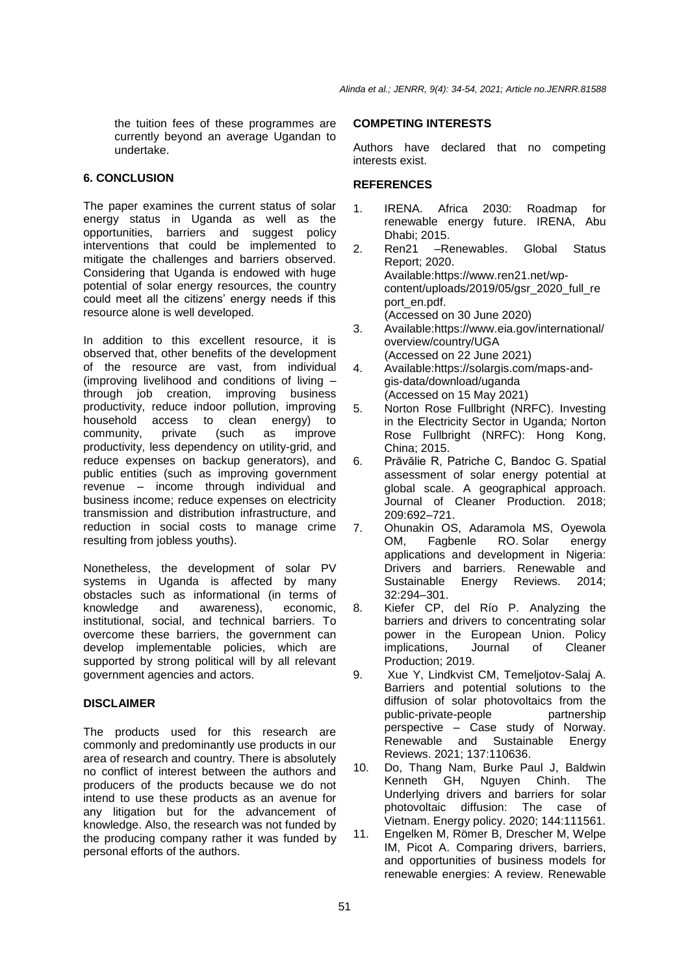the tuition fees of these programmes are currently beyond an average Ugandan to undertake.

### **6. CONCLUSION**

The paper examines the current status of solar energy status in Uganda as well as the opportunities, barriers and suggest policy interventions that could be implemented to mitigate the challenges and barriers observed. Considering that Uganda is endowed with huge potential of solar energy resources, the country could meet all the citizens' energy needs if this resource alone is well developed.

In addition to this excellent resource, it is observed that, other benefits of the development of the resource are vast, from individual (improving livelihood and conditions of living – through job creation, improving business productivity, reduce indoor pollution, improving household access to clean energy) to community, private (such as improve productivity, less dependency on utility-grid, and reduce expenses on backup generators), and public entities (such as improving government revenue – income through individual and business income; reduce expenses on electricity transmission and distribution infrastructure, and reduction in social costs to manage crime resulting from jobless youths).

Nonetheless, the development of solar PV systems in Uganda is affected by many obstacles such as informational (in terms of knowledge and awareness), economic, institutional, social, and technical barriers. To overcome these barriers, the government can develop implementable policies, which are supported by strong political will by all relevant government agencies and actors.

#### **DISCLAIMER**

The products used for this research are commonly and predominantly use products in our area of research and country. There is absolutely no conflict of interest between the authors and producers of the products because we do not intend to use these products as an avenue for any litigation but for the advancement of knowledge. Also, the research was not funded by the producing company rather it was funded by personal efforts of the authors.

### **COMPETING INTERESTS**

Authors have declared that no competing interests exist.

### **REFERENCES**

- 1. IRENA. Africa 2030: Roadmap for renewable energy future. IRENA, Abu Dhabi; 2015.<br>Ren21 – Re
- 2. Ren21 –Renewables. Global Status Report; 2020. Available[:https://www.ren21.net/wp](https://www.ren21.net/wp-content/uploads/2019/05/gsr_2020_full_report_en.pdf)[content/uploads/2019/05/gsr\\_2020\\_full\\_re](https://www.ren21.net/wp-content/uploads/2019/05/gsr_2020_full_report_en.pdf) [port\\_en.pdf.](https://www.ren21.net/wp-content/uploads/2019/05/gsr_2020_full_report_en.pdf) (Accessed on 30 June 2020)
- 3. Available[:https://www.eia.gov/international/](https://www.eia.gov/international/overview/country/UGA) [overview/country/UGA](https://www.eia.gov/international/overview/country/UGA) (Accessed on 22 June 2021)
- 4. Available[:https://solargis.com/maps-and](https://solargis.com/maps-and-gis-data/download/uganda)[gis-data/download/uganda](https://solargis.com/maps-and-gis-data/download/uganda) (Accessed on 15 May 2021)
- 5. Norton Rose Fullbright (NRFC). Investing in the Electricity Sector in Uganda*;* Norton Rose Fullbright (NRFC): Hong Kong, China; 2015.
- 6. Prăvălie R, Patriche C, Bandoc G. Spatial assessment of solar energy potential at global scale. A geographical approach. Journal of Cleaner Production. 2018; 209:692–721.
- 7. Ohunakin OS, Adaramola MS, Oyewola OM, Fagbenle RO. Solar energy applications and development in Nigeria: Drivers and barriers. Renewable and<br>Sustainable Energy Reviews. 2014; Sustainable Energy Reviews. 2014; 32:294–301.
- 8. Kiefer CP, del Río P. Analyzing the barriers and drivers to concentrating solar power in the European Union. Policy implications, Journal of Cleaner Production; 2019.
- 9. Xue Y, Lindkvist CM, Temeljotov-Salaj A. Barriers and potential solutions to the diffusion of solar photovoltaics from the public-private-people partnership perspective – Case study of Norway. Renewable and Sustainable Energy Reviews. 2021; 137:110636.
- 10. Do, Thang Nam, Burke Paul J, Baldwin Kenneth GH, Nguyen Chinh. The Underlying drivers and barriers for solar photovoltaic diffusion: The case of Vietnam. Energy policy. 2020; 144:111561.
- 11. Engelken M, Römer B, Drescher M, Welpe IM, Picot A. Comparing drivers, barriers, and opportunities of business models for renewable energies: A review. Renewable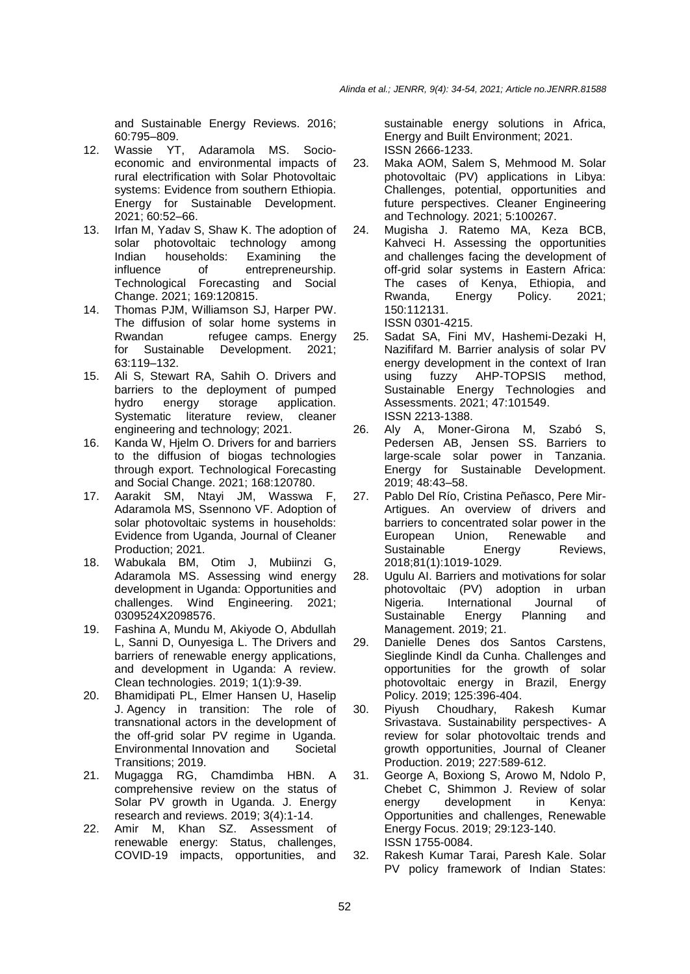and Sustainable Energy Reviews. 2016; 60:795–809.

- 12. Wassie YT, Adaramola MS. Socioeconomic and environmental impacts of rural electrification with Solar Photovoltaic systems: Evidence from southern Ethiopia. Energy for Sustainable Development. 2021; 60:52–66.
- 13. Irfan M, Yadav S, Shaw K. The adoption of solar photovoltaic technology among Indian households: Examining the influence of entrepreneurship. Technological Forecasting and Social Change. 2021; 169:120815.
- 14. Thomas PJM, Williamson SJ, Harper PW. The diffusion of solar home systems in Rwandan refugee camps. Energy for Sustainable Development. 2021; 63:119–132.
- 15. Ali S, Stewart RA, Sahih O. Drivers and barriers to the deployment of pumped hydro energy storage application.<br>Systematic literature review, cleaner Systematic literature review, cleaner engineering and technology; 2021.
- 16. Kanda W, Hjelm O. Drivers for and barriers to the diffusion of biogas technologies through export. Technological Forecasting and Social Change. 2021; 168:120780.
- 17. Aarakit SM, Ntayi JM, Wasswa F, Adaramola MS, Ssennono VF. Adoption of solar photovoltaic systems in households: Evidence from Uganda, Journal of Cleaner Production; 2021.
- 18. Wabukala BM, Otim J, Mubiinzi G, Adaramola MS. Assessing wind energy development in Uganda: Opportunities and challenges. Wind Engineering. 2021; 0309524X2098576.
- 19. Fashina A, Mundu M, Akiyode O, Abdullah L, Sanni D, Ounyesiga L. The Drivers and barriers of renewable energy applications, and development in Uganda: A review. Clean technologies. 2019; 1(1):9-39.
- 20. Bhamidipati PL, Elmer Hansen U, Haselip J. Agency in transition: The role of transnational actors in the development of the off-grid solar PV regime in Uganda. Environmental Innovation and Societal Transitions; 2019.
- 21. Mugagga RG, Chamdimba HBN. A comprehensive review on the status of Solar PV growth in Uganda. J. Energy research and reviews. 2019; 3(4):1-14.
- 22. Amir M, Khan SZ. Assessment of renewable energy: Status, challenges, COVID-19 impacts, opportunities, and

sustainable energy solutions in Africa, Energy and Built Environment; 2021. ISSN 2666-1233.

- 23. Maka AOM, Salem S, Mehmood M. Solar photovoltaic (PV) applications in Libya: Challenges, potential, opportunities and future perspectives. Cleaner Engineering and Technology*.* 2021; 5:100267.
- 24. Mugisha J. Ratemo MA, Keza BCB, Kahveci H. Assessing the opportunities and challenges facing the development of off-grid solar systems in Eastern Africa: The cases of Kenya, Ethiopia, and Rwanda, Energy Policy. 2021; 150:112131. ISSN 0301-4215.
- 25. Sadat SA, Fini MV, Hashemi-Dezaki H, Nazififard M. Barrier analysis of solar PV energy development in the context of Iran using fuzzy AHP-TOPSIS method, Sustainable Energy Technologies and Assessments. 2021; 47:101549. ISSN 2213-1388.
- 26. Aly A, Moner-Girona M, Szabó S, Pedersen AB, Jensen SS. Barriers to large-scale solar power in Tanzania. Energy for Sustainable Development. 2019; 48:43–58.
- 27. Pablo Del Río, Cristina Peñasco, Pere Mir-Artigues. An overview of drivers and barriers to concentrated solar power in the European Union, Renewable and<br>Sustainable Energy Reviews, Sustainable Energy Reviews, 2018;81(1):1019-1029.
- 28. Ugulu AI. Barriers and motivations for solar photovoltaic (PV) adoption in urban<br>Nigeria. International Journal of Nigeria. International Journal of<br>Sustainable Energy Planning and Sustainable Energy Planning and Management. 2019; 21.
- 29. Danielle Denes dos Santos Carstens, Sieglinde Kindl da Cunha. Challenges and opportunities for the growth of solar photovoltaic energy in Brazil, Energy Policy. 2019; 125:396-404.
- 30. Piyush Choudhary, Rakesh Kumar Srivastava. Sustainability perspectives- A review for solar photovoltaic trends and growth opportunities, Journal of Cleaner Production. 2019; 227:589-612.
- 31. George A, Boxiong S, Arowo M, Ndolo P, Chebet C, Shimmon J. Review of solar energy development in Kenya: Opportunities and challenges, Renewable Energy Focus. 2019; 29:123-140. ISSN 1755-0084.
- 32. Rakesh Kumar Tarai, Paresh Kale. Solar PV policy framework of Indian States: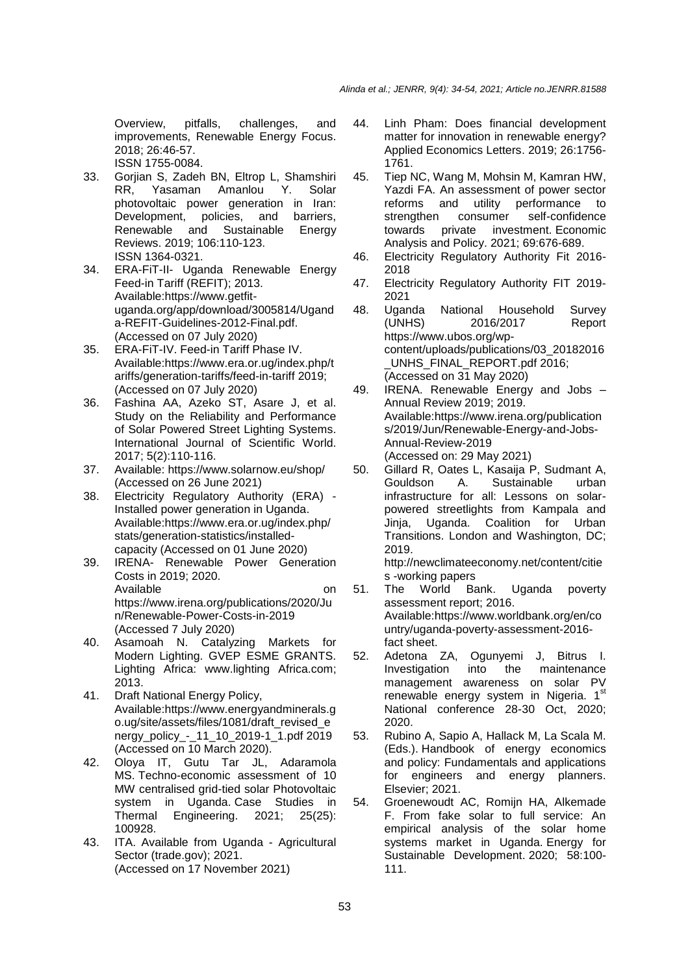Overview, pitfalls, challenges, and improvements, Renewable Energy Focus. 2018; 26:46-57. ISSN 1755-0084.

- 33. Gorjian S, Zadeh BN, Eltrop L, Shamshiri RR, Yasaman Amanlou Y. Solar photovoltaic power generation in Iran: Development, policies, and barriers, Renewable and Sustainable Energy Reviews. 2019; 106:110-123. ISSN 1364-0321.
- 34. ERA-FiT-II- Uganda Renewable Energy Feed-in Tariff (REFIT); 2013. Available:https://www.getfituganda.org/app/download/3005814/Ugand a-REFIT-Guidelines-2012-Final.pdf. (Accessed on 07 July 2020)
- 35. ERA-FiT-IV. Feed-in Tariff Phase IV. Available:https://www.era.or.ug/index.php/t ariffs/generation-tariffs/feed-in-tariff 2019; (Accessed on 07 July 2020)
- 36. Fashina AA, Azeko ST, Asare J, et al. Study on the Reliability and Performance of Solar Powered Street Lighting Systems. International Journal of Scientific World. 2017; 5(2):110-116.
- 37. Available: https://www.solarnow.eu/shop/ (Accessed on 26 June 2021)
- 38. Electricity Regulatory Authority (ERA) Installed power generation in Uganda. Available:https://www.era.or.ug/index.php/ stats/generation-statistics/installedcapacity (Accessed on 01 June 2020)
- 39. IRENA- Renewable Power Generation Costs in 2019; 2020. Available on on on on on the contract of the contract of the contract of the contract of the contract of the contract of the contract of the contract of the contract of the contract of the contract of the contract of the c https://www.irena.org/publications/2020/Ju n/Renewable-Power-Costs-in-2019 (Accessed 7 July 2020)
- 40. Asamoah N. Catalyzing Markets for Modern Lighting. GVEP ESME GRANTS. Lighting Africa: www.lighting Africa.com; 2013.
- 41. Draft National Energy Policy, Available:https://www.energyandminerals.g o.ug/site/assets/files/1081/draft\_revised\_e nergy\_policy\_-\_11\_10\_2019-1\_1.pdf 2019 (Accessed on 10 March 2020).
- 42. Oloya IT, Gutu Tar JL, Adaramola MS. Techno-economic assessment of 10 MW centralised grid-tied solar Photovoltaic system in Uganda. Case Studies in Thermal Engineering. 2021; 25(25): 100928.
- 43. ITA. Available from Uganda Agricultural Sector (trade.gov); 2021. (Accessed on 17 November 2021)
- 44. Linh Pham: Does financial development matter for innovation in renewable energy? Applied Economics Letters. 2019; 26:1756- 1761.
- 45. Tiep NC, Wang M, Mohsin M, Kamran HW, Yazdi FA. An assessment of power sector reforms and utility performance to strengthen consumer self-confidence towards private investment. Economic Analysis and Policy. 2021; 69:676-689.
- 46. Electricity Regulatory Authority Fit 2016- 2018
- 47. Electricity Regulatory Authority FIT 2019- 2021
- 48. Uganda National Household Survey (UNHS) 2016/2017 Report https://www.ubos.org/wpcontent/uploads/publications/03\_20182016 UNHS\_FINAL\_REPORT.pdf 2016; (Accessed on 31 May 2020)
- 49. IRENA. Renewable Energy and Jobs Annual Review 2019; 2019. Available:https://www.irena.org/publication s/2019/Jun/Renewable-Energy-and-Jobs-Annual-Review-2019 (Accessed on: 29 May 2021)
- 50. Gillard R, Oates L, Kasaija P, Sudmant A, Gouldson A. Sustainable urban infrastructure for all: Lessons on solarpowered streetlights from Kampala and Jinja, Uganda. Coalition for Urban Transitions. London and Washington, DC; 2019.

http://newclimateeconomy.net/content/citie

- s -working papers<br>The World Bank. 51. The World Bank. Uganda poverty assessment report; 2016. Available:https://www.worldbank.org/en/co untry/uganda-poverty-assessment-2016 fact sheet.
- 52. Adetona ZA, Ogunyemi J, Bitrus I. Investigation into the maintenance management awareness on solar PV renewable energy system in Nigeria. 1st National conference 28-30 Oct, 2020; 2020.
- 53. Rubino A, Sapio A, Hallack M, La Scala M. (Eds.). Handbook of energy economics and policy: Fundamentals and applications for engineers and energy planners. Elsevier; 2021.
- 54. Groenewoudt AC, Romijn HA, Alkemade F. From fake solar to full service: An empirical analysis of the solar home systems market in Uganda. Energy for Sustainable Development. 2020; 58:100- 111.